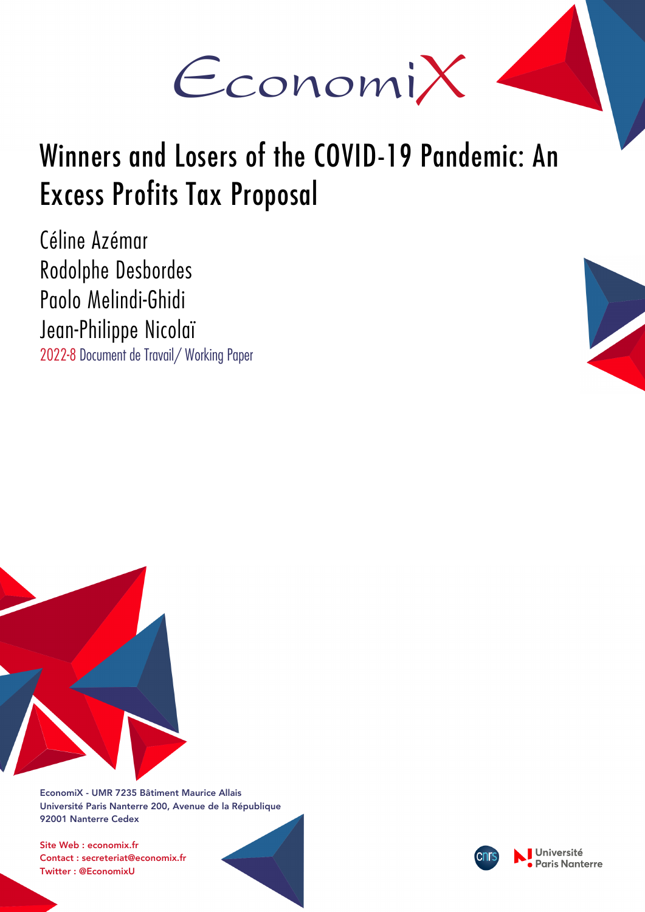

# Winners and Losers of the COVID-19 Pandemic: An Excess Profits Tax Proposal

Céline Azémar Rodolphe Desbordes Paolo Melindi-Ghidi Jean-Philippe Nicolaï 2022-8 Document de Travail/ Working Paper





EconomiX - UMR 7235 Bâtiment Maurice Allais Université Paris Nanterre 200, Avenue de la République 92001 Nanterre Cedex

Site Web : economix.fr Contact : secreteriat@economix.fr Twitter : @EconomixU

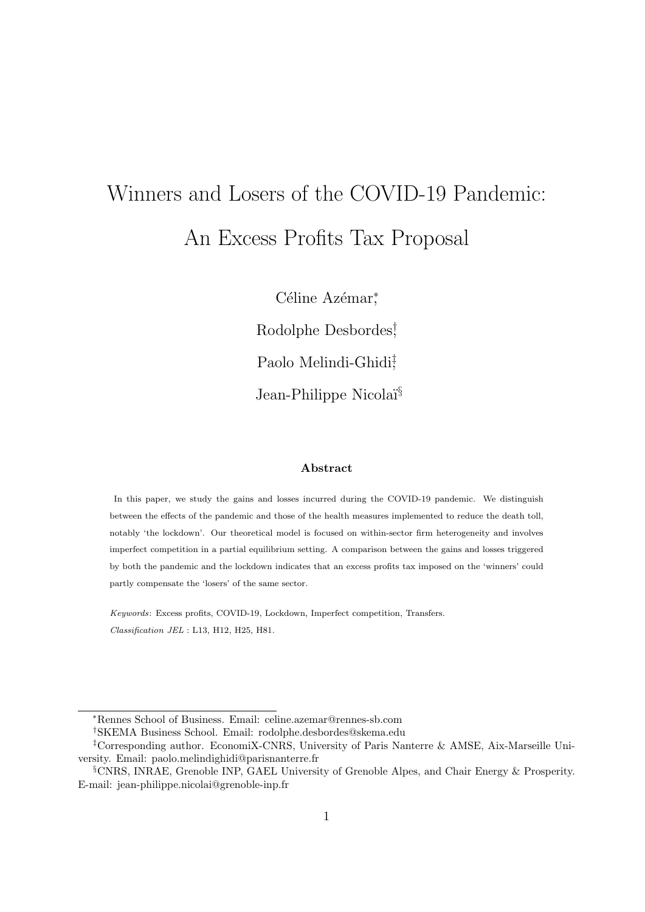# Winners and Losers of the COVID-19 Pandemic: An Excess Profits Tax Proposal

Céline Azémar<sup>\*</sup> Rodolphe Desbordes† , Paolo Melindi-Ghidi<sup>#</sup> Jean-Philippe Nicolai<sup>§</sup>

### Abstract

In this paper, we study the gains and losses incurred during the COVID-19 pandemic. We distinguish between the effects of the pandemic and those of the health measures implemented to reduce the death toll, notably 'the lockdown'. Our theoretical model is focused on within-sector firm heterogeneity and involves imperfect competition in a partial equilibrium setting. A comparison between the gains and losses triggered by both the pandemic and the lockdown indicates that an excess profits tax imposed on the 'winners' could partly compensate the 'losers' of the same sector.

Keywords: Excess profits, COVID-19, Lockdown, Imperfect competition, Transfers. Classification JEL : L13, H12, H25, H81.

<sup>∗</sup>Rennes School of Business. Email: celine.azemar@rennes-sb.com

<sup>†</sup>SKEMA Business School. Email: rodolphe.desbordes@skema.edu

<sup>‡</sup>Corresponding author. EconomiX-CNRS, University of Paris Nanterre & AMSE, Aix-Marseille University. Email: paolo.melindighidi@parisnanterre.fr

<sup>§</sup>CNRS, INRAE, Grenoble INP, GAEL University of Grenoble Alpes, and Chair Energy & Prosperity. E-mail: jean-philippe.nicolai@grenoble-inp.fr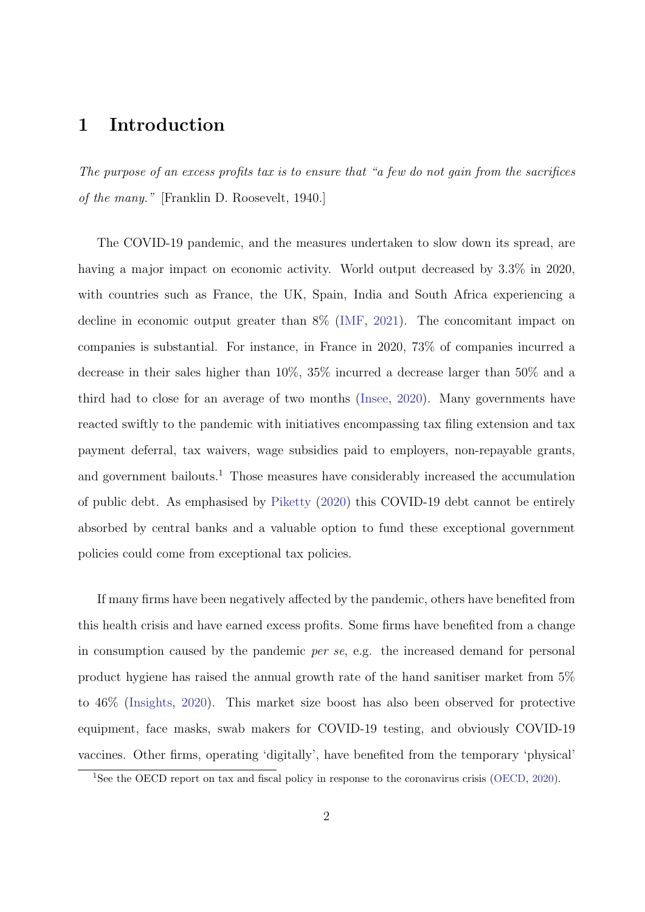### 1 Introduction

The purpose of an excess profits tax is to ensure that "a few do not gain from the sacrifices of the many." [Franklin D. Roosevelt, 1940.]

The COVID-19 pandemic, and the measures undertaken to slow down its spread, are having a major impact on economic activity. World output decreased by  $3.3\%$  in 2020, with countries such as France, the UK, Spain, India and South Africa experiencing a decline in economic output greater than 8% (IMF, 2021). The concomitant impact on companies is substantial. For instance, in France in 2020, 73% of companies incurred a decrease in their sales higher than 10%, 35% incurred a decrease larger than 50% and a third had to close for an average of two months (Insee, 2020). Many governments have reacted swiftly to the pandemic with initiatives encompassing tax filing extension and tax payment deferral, tax waivers, wage subsidies paid to employers, non-repayable grants, and government bailouts.<sup>1</sup> Those measures have considerably increased the accumulation of public debt. As emphasised by Piketty (2020) this COVID-19 debt cannot be entirely absorbed by central banks and a valuable option to fund these exceptional government policies could come from exceptional tax policies.

If many firms have been negatively affected by the pandemic, others have benefited from this health crisis and have earned excess profits. Some firms have benefited from a change in consumption caused by the pandemic per se, e.g. the increased demand for personal product hygiene has raised the annual growth rate of the hand sanitiser market from 5% to 46% (Insights, 2020). This market size boost has also been observed for protective equipment, face masks, swab makers for COVID-19 testing, and obviously COVID-19 vaccines. Other firms, operating 'digitally', have benefited from the temporary 'physical'

<sup>&</sup>lt;sup>1</sup>See the OECD report on tax and fiscal policy in response to the coronavirus crisis (OECD, 2020).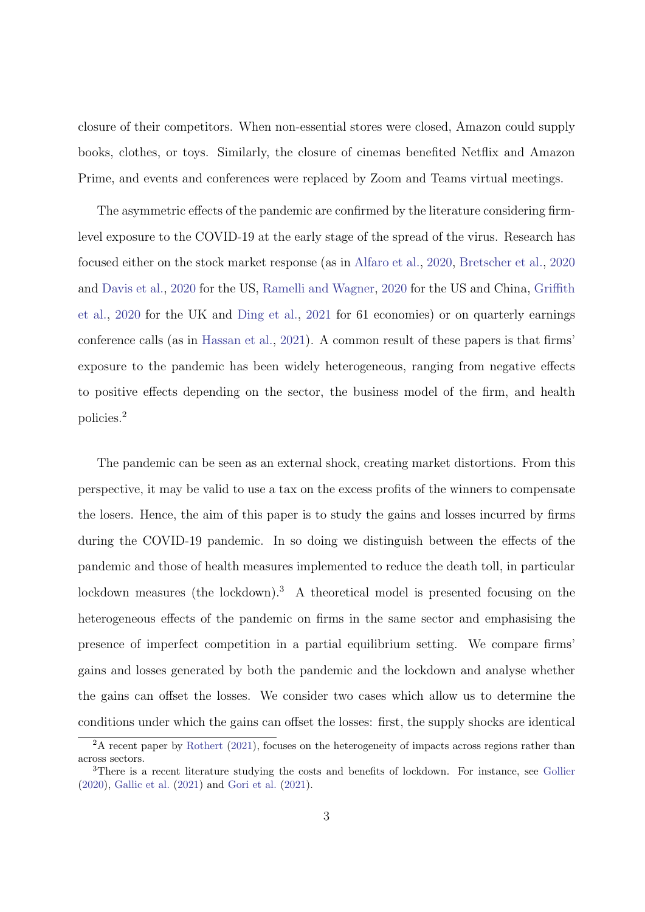closure of their competitors. When non-essential stores were closed, Amazon could supply books, clothes, or toys. Similarly, the closure of cinemas benefited Netflix and Amazon Prime, and events and conferences were replaced by Zoom and Teams virtual meetings.

The asymmetric effects of the pandemic are confirmed by the literature considering firmlevel exposure to the COVID-19 at the early stage of the spread of the virus. Research has focused either on the stock market response (as in Alfaro et al., 2020, Bretscher et al., 2020 and Davis et al., 2020 for the US, Ramelli and Wagner, 2020 for the US and China, Griffith et al., 2020 for the UK and Ding et al., 2021 for 61 economies) or on quarterly earnings conference calls (as in Hassan et al., 2021). A common result of these papers is that firms' exposure to the pandemic has been widely heterogeneous, ranging from negative effects to positive effects depending on the sector, the business model of the firm, and health policies.<sup>2</sup>

The pandemic can be seen as an external shock, creating market distortions. From this perspective, it may be valid to use a tax on the excess profits of the winners to compensate the losers. Hence, the aim of this paper is to study the gains and losses incurred by firms during the COVID-19 pandemic. In so doing we distinguish between the effects of the pandemic and those of health measures implemented to reduce the death toll, in particular lockdown measures (the lockdown).<sup>3</sup> A theoretical model is presented focusing on the heterogeneous effects of the pandemic on firms in the same sector and emphasising the presence of imperfect competition in a partial equilibrium setting. We compare firms' gains and losses generated by both the pandemic and the lockdown and analyse whether the gains can offset the losses. We consider two cases which allow us to determine the conditions under which the gains can offset the losses: first, the supply shocks are identical

<sup>&</sup>lt;sup>2</sup>A recent paper by Rothert (2021), focuses on the heterogeneity of impacts across regions rather than across sectors.

<sup>&</sup>lt;sup>3</sup>There is a recent literature studying the costs and benefits of lockdown. For instance, see Gollier (2020), Gallic et al. (2021) and Gori et al. (2021).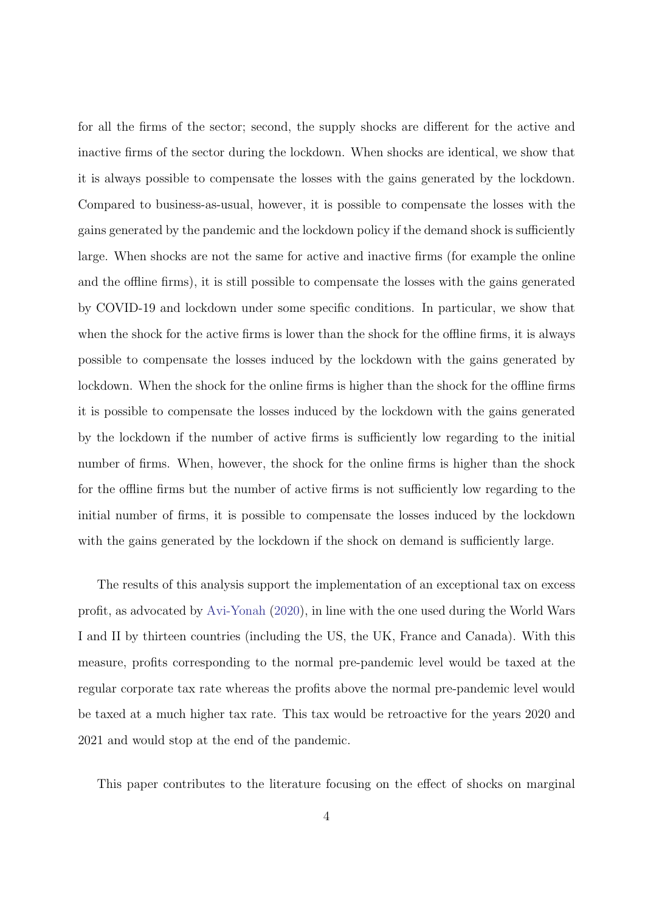for all the firms of the sector; second, the supply shocks are different for the active and inactive firms of the sector during the lockdown. When shocks are identical, we show that it is always possible to compensate the losses with the gains generated by the lockdown. Compared to business-as-usual, however, it is possible to compensate the losses with the gains generated by the pandemic and the lockdown policy if the demand shock is sufficiently large. When shocks are not the same for active and inactive firms (for example the online and the offline firms), it is still possible to compensate the losses with the gains generated by COVID-19 and lockdown under some specific conditions. In particular, we show that when the shock for the active firms is lower than the shock for the offline firms, it is always possible to compensate the losses induced by the lockdown with the gains generated by lockdown. When the shock for the online firms is higher than the shock for the offline firms it is possible to compensate the losses induced by the lockdown with the gains generated by the lockdown if the number of active firms is sufficiently low regarding to the initial number of firms. When, however, the shock for the online firms is higher than the shock for the offline firms but the number of active firms is not sufficiently low regarding to the initial number of firms, it is possible to compensate the losses induced by the lockdown with the gains generated by the lockdown if the shock on demand is sufficiently large.

The results of this analysis support the implementation of an exceptional tax on excess profit, as advocated by Avi-Yonah (2020), in line with the one used during the World Wars I and II by thirteen countries (including the US, the UK, France and Canada). With this measure, profits corresponding to the normal pre-pandemic level would be taxed at the regular corporate tax rate whereas the profits above the normal pre-pandemic level would be taxed at a much higher tax rate. This tax would be retroactive for the years 2020 and 2021 and would stop at the end of the pandemic.

This paper contributes to the literature focusing on the effect of shocks on marginal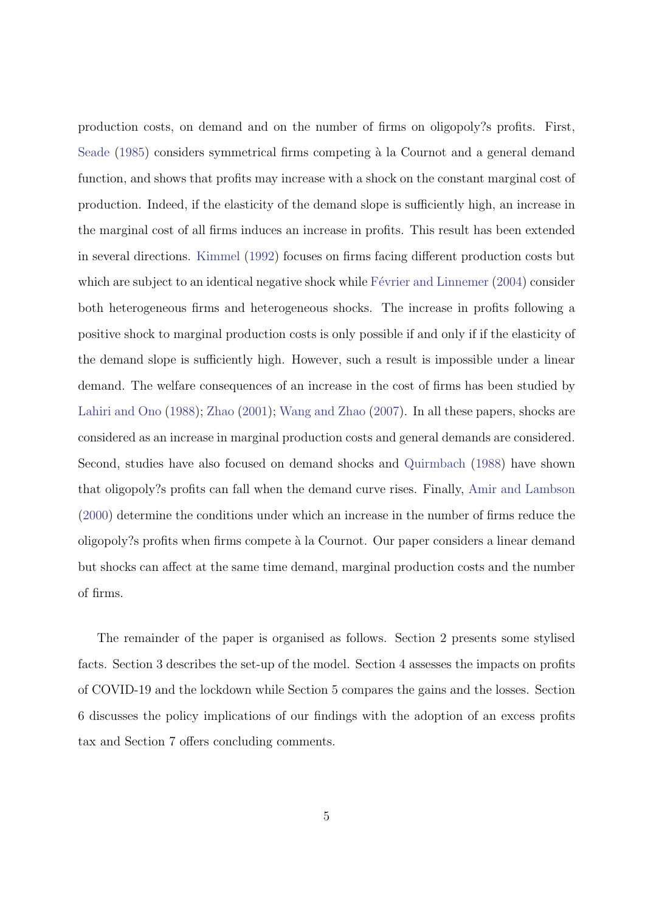production costs, on demand and on the number of firms on oligopoly?s profits. First, Seade (1985) considers symmetrical firms competing à la Cournot and a general demand function, and shows that profits may increase with a shock on the constant marginal cost of production. Indeed, if the elasticity of the demand slope is sufficiently high, an increase in the marginal cost of all firms induces an increase in profits. This result has been extended in several directions. Kimmel (1992) focuses on firms facing different production costs but which are subject to an identical negative shock while  $Février$  and Linnemer (2004) consider both heterogeneous firms and heterogeneous shocks. The increase in profits following a positive shock to marginal production costs is only possible if and only if if the elasticity of the demand slope is sufficiently high. However, such a result is impossible under a linear demand. The welfare consequences of an increase in the cost of firms has been studied by Lahiri and Ono (1988); Zhao (2001); Wang and Zhao (2007). In all these papers, shocks are considered as an increase in marginal production costs and general demands are considered. Second, studies have also focused on demand shocks and Quirmbach (1988) have shown that oligopoly?s profits can fall when the demand curve rises. Finally, Amir and Lambson (2000) determine the conditions under which an increase in the number of firms reduce the oligopoly?s profits when firms compete à la Cournot. Our paper considers a linear demand but shocks can affect at the same time demand, marginal production costs and the number of firms.

The remainder of the paper is organised as follows. Section 2 presents some stylised facts. Section 3 describes the set-up of the model. Section 4 assesses the impacts on profits of COVID-19 and the lockdown while Section 5 compares the gains and the losses. Section 6 discusses the policy implications of our findings with the adoption of an excess profits tax and Section 7 offers concluding comments.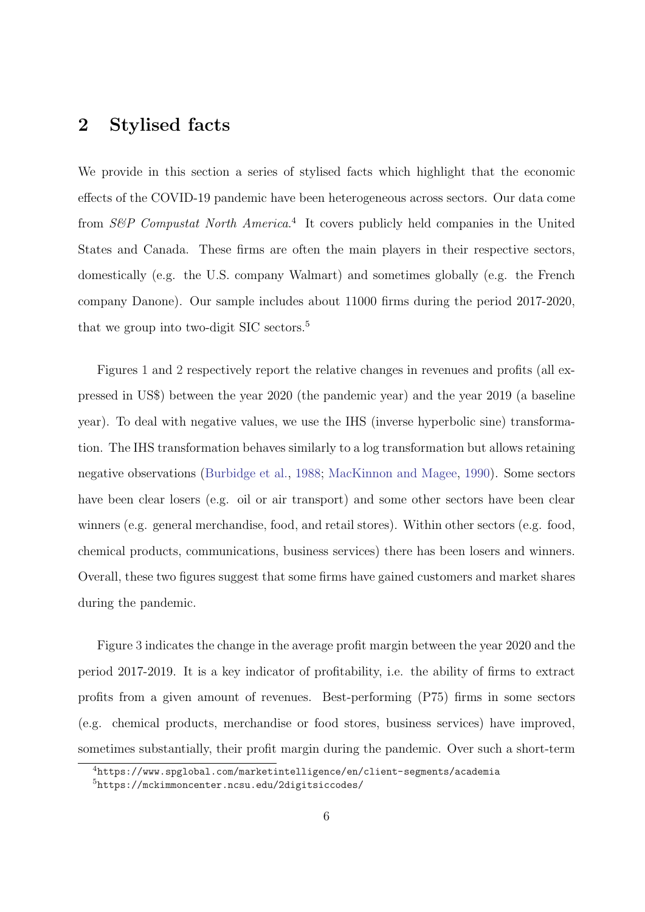### 2 Stylised facts

We provide in this section a series of stylised facts which highlight that the economic effects of the COVID-19 pandemic have been heterogeneous across sectors. Our data come from S&P Compustat North America.<sup>4</sup> It covers publicly held companies in the United States and Canada. These firms are often the main players in their respective sectors, domestically (e.g. the U.S. company Walmart) and sometimes globally (e.g. the French company Danone). Our sample includes about 11000 firms during the period 2017-2020, that we group into two-digit SIC sectors.<sup>5</sup>

Figures 1 and 2 respectively report the relative changes in revenues and profits (all expressed in US\$) between the year 2020 (the pandemic year) and the year 2019 (a baseline year). To deal with negative values, we use the IHS (inverse hyperbolic sine) transformation. The IHS transformation behaves similarly to a log transformation but allows retaining negative observations (Burbidge et al., 1988; MacKinnon and Magee, 1990). Some sectors have been clear losers (e.g. oil or air transport) and some other sectors have been clear winners (e.g. general merchandise, food, and retail stores). Within other sectors (e.g. food, chemical products, communications, business services) there has been losers and winners. Overall, these two figures suggest that some firms have gained customers and market shares during the pandemic.

Figure 3 indicates the change in the average profit margin between the year 2020 and the period 2017-2019. It is a key indicator of profitability, i.e. the ability of firms to extract profits from a given amount of revenues. Best-performing (P75) firms in some sectors (e.g. chemical products, merchandise or food stores, business services) have improved, sometimes substantially, their profit margin during the pandemic. Over such a short-term

<sup>4</sup>https://www.spglobal.com/marketintelligence/en/client-segments/academia

<sup>5</sup>https://mckimmoncenter.ncsu.edu/2digitsiccodes/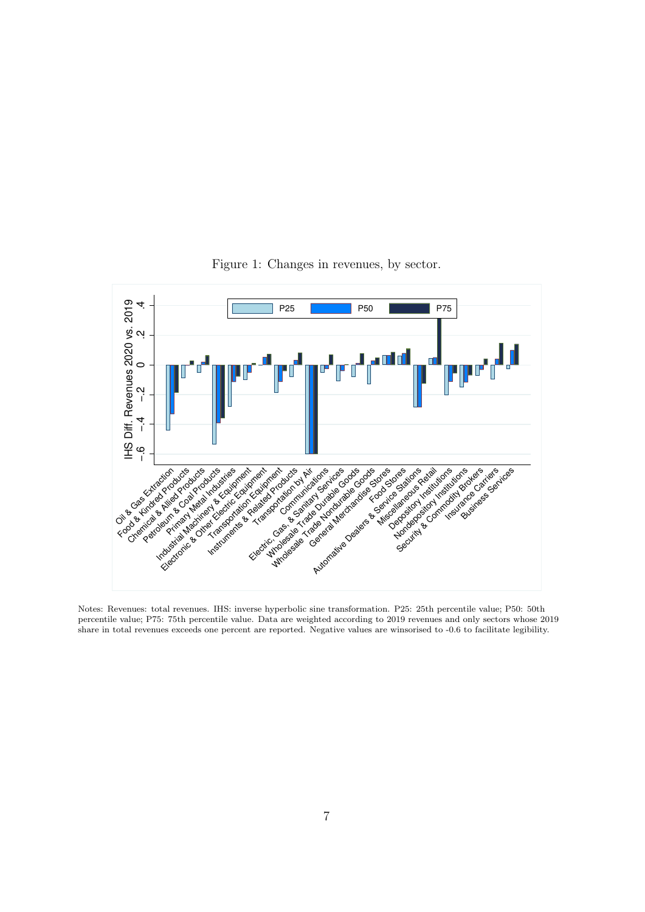

Figure 1: Changes in revenues, by sector.

Notes: Revenues: total revenues. IHS: inverse hyperbolic sine transformation. P25: 25th percentile value; P50: 50th percentile value; P75: 75th percentile value. Data are weighted according to 2019 revenues and only sectors whose 2019 share in total revenues exceeds one percent are reported. Negative values are winsorised to -0.6 to facilitate legibility.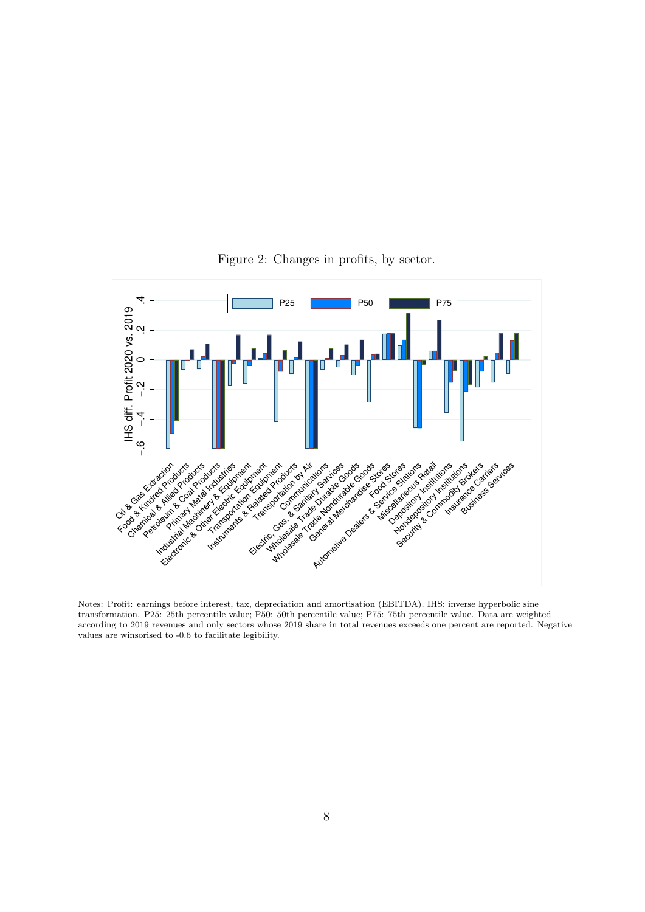

Figure 2: Changes in profits, by sector.

Notes: Profit: earnings before interest, tax, depreciation and amortisation (EBITDA). IHS: inverse hyperbolic sine transformation. P25: 25th percentile value; P50: 50th percentile value; P75: 75th percentile value. Data are weighted according to 2019 revenues and only sectors whose 2019 share in total revenues exceeds one percent are reported. Negative values are winsorised to -0.6 to facilitate legibility.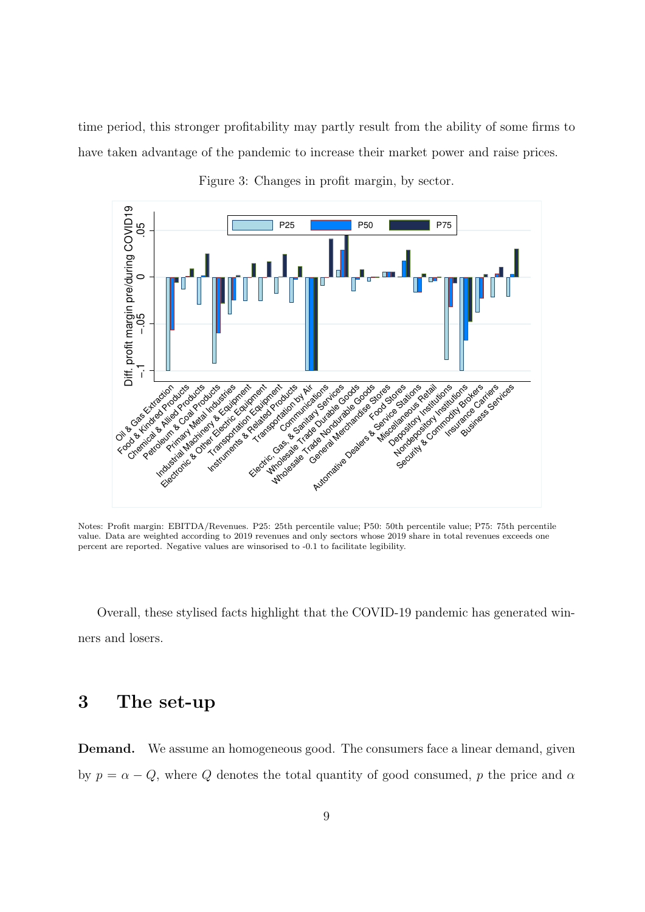time period, this stronger profitability may partly result from the ability of some firms to have taken advantage of the pandemic to increase their market power and raise prices.



Figure 3: Changes in profit margin, by sector.

Notes: Profit margin: EBITDA/Revenues. P25: 25th percentile value; P50: 50th percentile value; P75: 75th percentile value. Data are weighted according to 2019 revenues and only sectors whose 2019 share in total revenues exceeds one percent are reported. Negative values are winsorised to -0.1 to facilitate legibility.

Overall, these stylised facts highlight that the COVID-19 pandemic has generated winners and losers.

### 3 The set-up

Demand. We assume an homogeneous good. The consumers face a linear demand, given by  $p = \alpha - Q$ , where Q denotes the total quantity of good consumed, p the price and  $\alpha$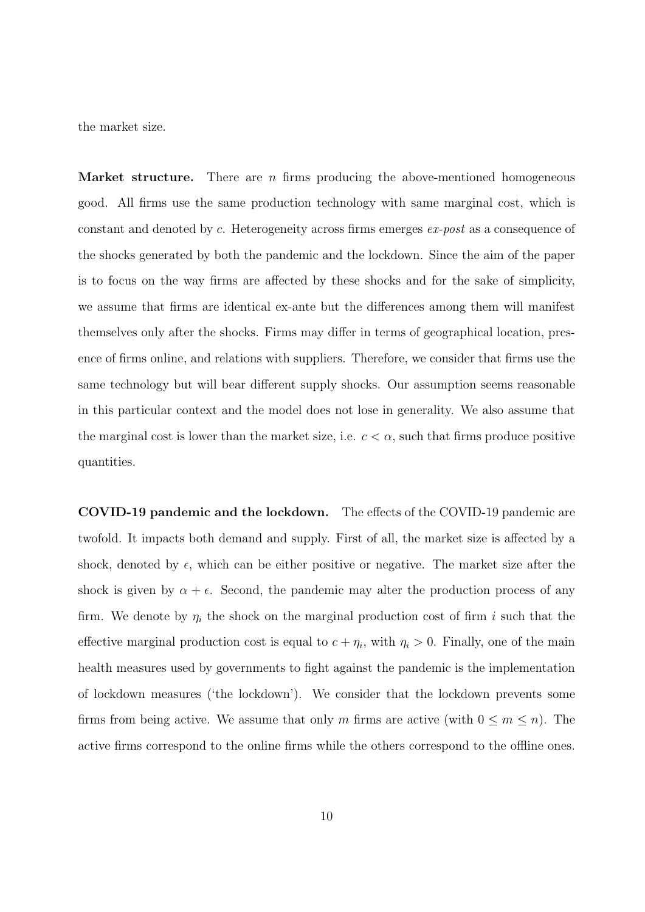the market size.

**Market structure.** There are n firms producing the above-mentioned homogeneous good. All firms use the same production technology with same marginal cost, which is constant and denoted by c. Heterogeneity across firms emerges ex-post as a consequence of the shocks generated by both the pandemic and the lockdown. Since the aim of the paper is to focus on the way firms are affected by these shocks and for the sake of simplicity, we assume that firms are identical ex-ante but the differences among them will manifest themselves only after the shocks. Firms may differ in terms of geographical location, presence of firms online, and relations with suppliers. Therefore, we consider that firms use the same technology but will bear different supply shocks. Our assumption seems reasonable in this particular context and the model does not lose in generality. We also assume that the marginal cost is lower than the market size, i.e.  $c < \alpha$ , such that firms produce positive quantities.

COVID-19 pandemic and the lockdown. The effects of the COVID-19 pandemic are twofold. It impacts both demand and supply. First of all, the market size is affected by a shock, denoted by  $\epsilon$ , which can be either positive or negative. The market size after the shock is given by  $\alpha + \epsilon$ . Second, the pandemic may alter the production process of any firm. We denote by  $\eta_i$  the shock on the marginal production cost of firm i such that the effective marginal production cost is equal to  $c + \eta_i$ , with  $\eta_i > 0$ . Finally, one of the main health measures used by governments to fight against the pandemic is the implementation of lockdown measures ('the lockdown'). We consider that the lockdown prevents some firms from being active. We assume that only m firms are active (with  $0 \le m \le n$ ). The active firms correspond to the online firms while the others correspond to the offline ones.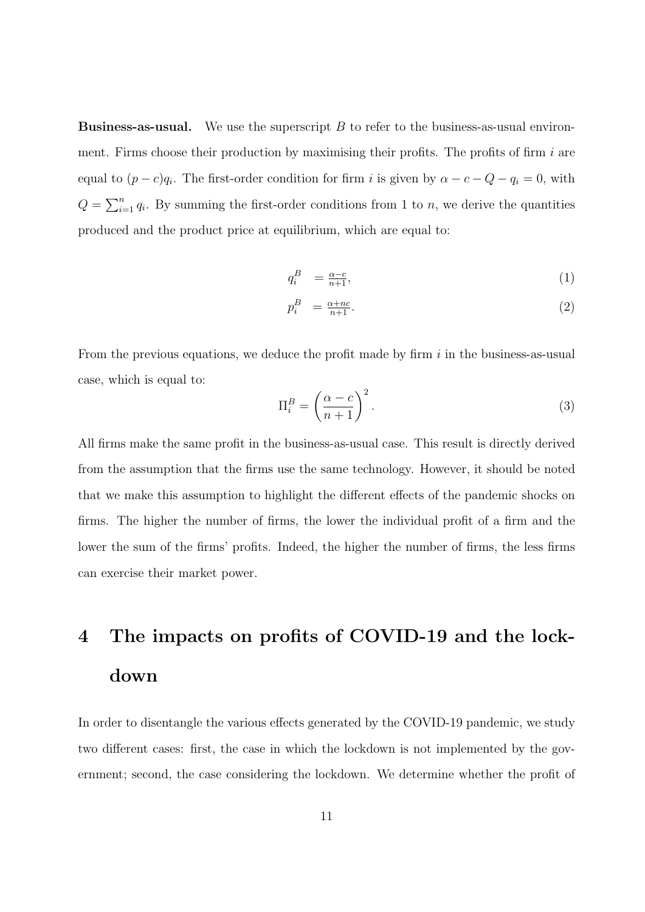**Business-as-usual.** We use the superscript  $B$  to refer to the business-as-usual environment. Firms choose their production by maximising their profits. The profits of firm  $i$  are equal to  $(p - c)q_i$ . The first-order condition for firm i is given by  $\alpha - c - Q - q_i = 0$ , with  $Q = \sum_{i=1}^{n} q_i$ . By summing the first-order conditions from 1 to *n*, we derive the quantities produced and the product price at equilibrium, which are equal to:

$$
q_i^B = \frac{\alpha - c}{n+1},\tag{1}
$$

$$
p_i^B = \frac{\alpha + nc}{n+1}.\tag{2}
$$

From the previous equations, we deduce the profit made by firm  $i$  in the business-as-usual case, which is equal to:

$$
\Pi_i^B = \left(\frac{\alpha - c}{n + 1}\right)^2.
$$
\n(3)

All firms make the same profit in the business-as-usual case. This result is directly derived from the assumption that the firms use the same technology. However, it should be noted that we make this assumption to highlight the different effects of the pandemic shocks on firms. The higher the number of firms, the lower the individual profit of a firm and the lower the sum of the firms' profits. Indeed, the higher the number of firms, the less firms can exercise their market power.

## 4 The impacts on profits of COVID-19 and the lockdown

In order to disentangle the various effects generated by the COVID-19 pandemic, we study two different cases: first, the case in which the lockdown is not implemented by the government; second, the case considering the lockdown. We determine whether the profit of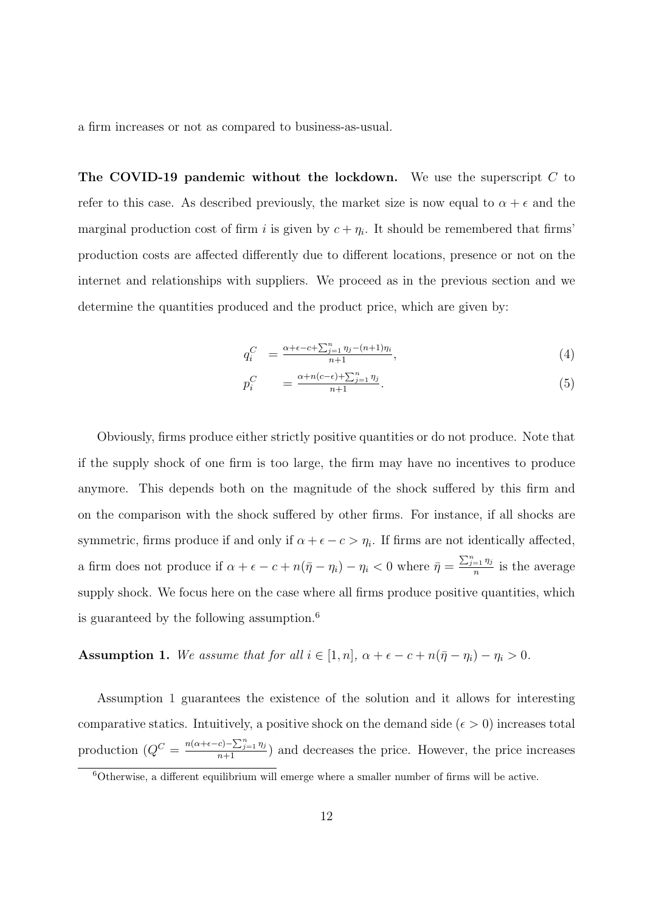a firm increases or not as compared to business-as-usual.

The COVID-19 pandemic without the lockdown. We use the superscript  $C$  to refer to this case. As described previously, the market size is now equal to  $\alpha + \epsilon$  and the marginal production cost of firm i is given by  $c + \eta_i$ . It should be remembered that firms' production costs are affected differently due to different locations, presence or not on the internet and relationships with suppliers. We proceed as in the previous section and we determine the quantities produced and the product price, which are given by:

$$
q_i^C = \frac{\alpha + \epsilon - c + \sum_{j=1}^n \eta_j - (n+1)\eta_i}{n+1},\tag{4}
$$

$$
p_i^C = \frac{\alpha + n(c - \epsilon) + \sum_{j=1}^n \eta_j}{n+1}.
$$
\n
$$
(5)
$$

Obviously, firms produce either strictly positive quantities or do not produce. Note that if the supply shock of one firm is too large, the firm may have no incentives to produce anymore. This depends both on the magnitude of the shock suffered by this firm and on the comparison with the shock suffered by other firms. For instance, if all shocks are symmetric, firms produce if and only if  $\alpha + \epsilon - c > \eta_i$ . If firms are not identically affected, a firm does not produce if  $\alpha + \epsilon - c + n(\bar{\eta} - \eta_i) - \eta_i < 0$  where  $\bar{\eta} = \frac{\sum_{j=1}^n \eta_j}{n}$  $\frac{1}{n}$  is the average supply shock. We focus here on the case where all firms produce positive quantities, which is guaranteed by the following assumption.<sup>6</sup>

Assumption 1. We assume that for all  $i \in [1, n]$ ,  $\alpha + \epsilon - c + n(\bar{\eta} - \eta_i) - \eta_i > 0$ .

Assumption 1 guarantees the existence of the solution and it allows for interesting comparative statics. Intuitively, a positive shock on the demand side ( $\epsilon > 0$ ) increases total production  $(Q^C = \frac{n(\alpha+\epsilon-c)-\sum_{j=1}^n \eta_j}{n+1})$  and decreases the price. However, the price increases

 $6$ Otherwise, a different equilibrium will emerge where a smaller number of firms will be active.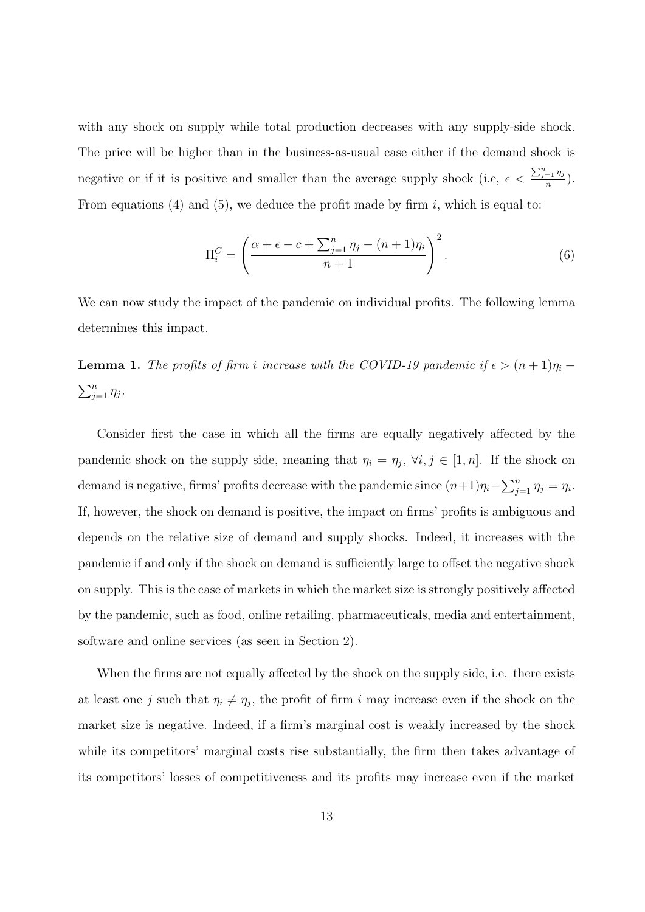with any shock on supply while total production decreases with any supply-side shock. The price will be higher than in the business-as-usual case either if the demand shock is negative or if it is positive and smaller than the average supply shock (i.e,  $\epsilon < \frac{\sum_{j=1}^n \eta_j}{n}$  $\frac{1}{n}$   $\frac{1}{n}$ ). From equations (4) and (5), we deduce the profit made by firm  $i$ , which is equal to:

$$
\Pi_i^C = \left(\frac{\alpha + \epsilon - c + \sum_{j=1}^n \eta_j - (n+1)\eta_i}{n+1}\right)^2.
$$
\n(6)

We can now study the impact of the pandemic on individual profits. The following lemma determines this impact.

**Lemma 1.** The profits of firm i increase with the COVID-19 pandemic if  $\epsilon > (n+1)\eta_i$  –  $\sum_{j=1}^n \eta_j$ .

Consider first the case in which all the firms are equally negatively affected by the pandemic shock on the supply side, meaning that  $\eta_i = \eta_j$ ,  $\forall i, j \in [1, n]$ . If the shock on demand is negative, firms' profits decrease with the pandemic since  $(n+1)\eta_i - \sum_{j=1}^n \eta_j = \eta_i$ . If, however, the shock on demand is positive, the impact on firms' profits is ambiguous and depends on the relative size of demand and supply shocks. Indeed, it increases with the pandemic if and only if the shock on demand is sufficiently large to offset the negative shock on supply. This is the case of markets in which the market size is strongly positively affected by the pandemic, such as food, online retailing, pharmaceuticals, media and entertainment, software and online services (as seen in Section 2).

When the firms are not equally affected by the shock on the supply side, i.e. there exists at least one j such that  $\eta_i \neq \eta_j$ , the profit of firm i may increase even if the shock on the market size is negative. Indeed, if a firm's marginal cost is weakly increased by the shock while its competitors' marginal costs rise substantially, the firm then takes advantage of its competitors' losses of competitiveness and its profits may increase even if the market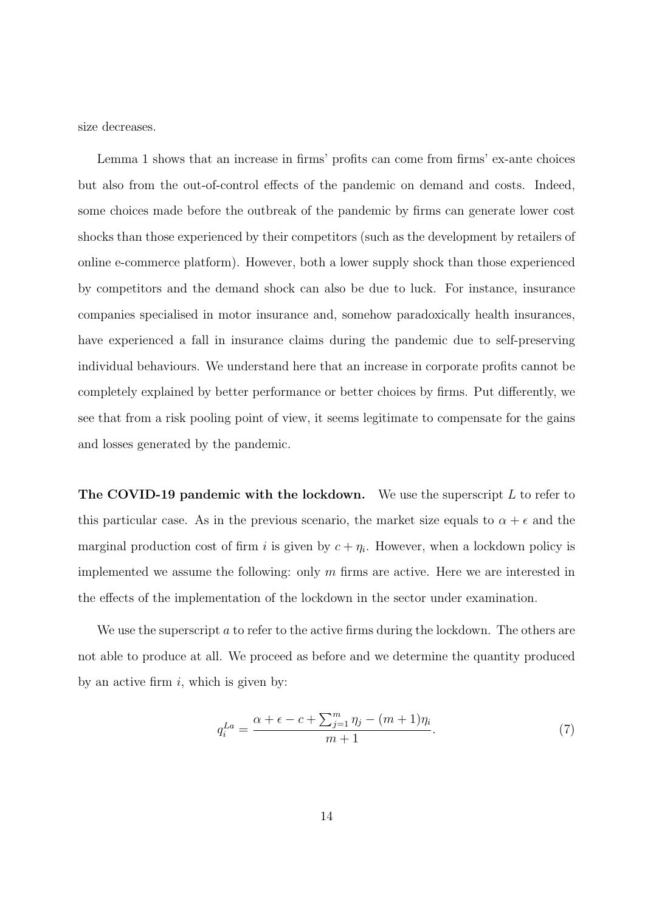size decreases.

Lemma 1 shows that an increase in firms' profits can come from firms' ex-ante choices but also from the out-of-control effects of the pandemic on demand and costs. Indeed, some choices made before the outbreak of the pandemic by firms can generate lower cost shocks than those experienced by their competitors (such as the development by retailers of online e-commerce platform). However, both a lower supply shock than those experienced by competitors and the demand shock can also be due to luck. For instance, insurance companies specialised in motor insurance and, somehow paradoxically health insurances, have experienced a fall in insurance claims during the pandemic due to self-preserving individual behaviours. We understand here that an increase in corporate profits cannot be completely explained by better performance or better choices by firms. Put differently, we see that from a risk pooling point of view, it seems legitimate to compensate for the gains and losses generated by the pandemic.

**The COVID-19 pandemic with the lockdown.** We use the superscript  $L$  to refer to this particular case. As in the previous scenario, the market size equals to  $\alpha + \epsilon$  and the marginal production cost of firm i is given by  $c + \eta_i$ . However, when a lockdown policy is implemented we assume the following: only  $m$  firms are active. Here we are interested in the effects of the implementation of the lockdown in the sector under examination.

We use the superscript  $a$  to refer to the active firms during the lockdown. The others are not able to produce at all. We proceed as before and we determine the quantity produced by an active firm  $i$ , which is given by:

$$
q_i^{La} = \frac{\alpha + \epsilon - c + \sum_{j=1}^m \eta_j - (m+1)\eta_i}{m+1}.
$$
 (7)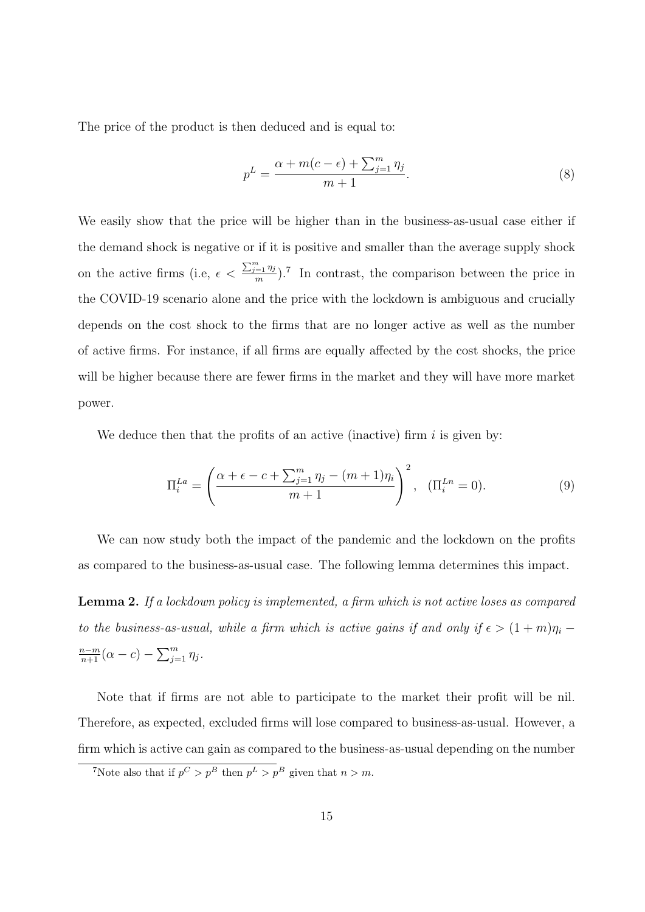The price of the product is then deduced and is equal to:

$$
p^{L} = \frac{\alpha + m(c - \epsilon) + \sum_{j=1}^{m} \eta_j}{m + 1}.
$$
\n
$$
(8)
$$

We easily show that the price will be higher than in the business-as-usual case either if the demand shock is negative or if it is positive and smaller than the average supply shock on the active firms (i.e,  $\epsilon < \frac{\sum_{j=1}^{m} \eta_j}{m}$  $\frac{m}{m}$ ).<sup>7</sup> In contrast, the comparison between the price in the COVID-19 scenario alone and the price with the lockdown is ambiguous and crucially depends on the cost shock to the firms that are no longer active as well as the number of active firms. For instance, if all firms are equally affected by the cost shocks, the price will be higher because there are fewer firms in the market and they will have more market power.

We deduce then that the profits of an active (inactive) firm  $i$  is given by:

$$
\Pi_i^{La} = \left(\frac{\alpha + \epsilon - c + \sum_{j=1}^m \eta_j - (m+1)\eta_i}{m+1}\right)^2, \quad (\Pi_i^{Ln} = 0).
$$
 (9)

We can now study both the impact of the pandemic and the lockdown on the profits as compared to the business-as-usual case. The following lemma determines this impact.

Lemma 2. If a lockdown policy is implemented, a firm which is not active loses as compared to the business-as-usual, while a firm which is active gains if and only if  $\epsilon > (1+m)\eta_i$  $\frac{n-m}{n+1}(\alpha-c) - \sum_{j=1}^{m} \eta_j$ .

Note that if firms are not able to participate to the market their profit will be nil. Therefore, as expected, excluded firms will lose compared to business-as-usual. However, a firm which is active can gain as compared to the business-as-usual depending on the number

<sup>&</sup>lt;sup>7</sup>Note also that if  $p^C > p^B$  then  $p^L > p^B$  given that  $n > m$ .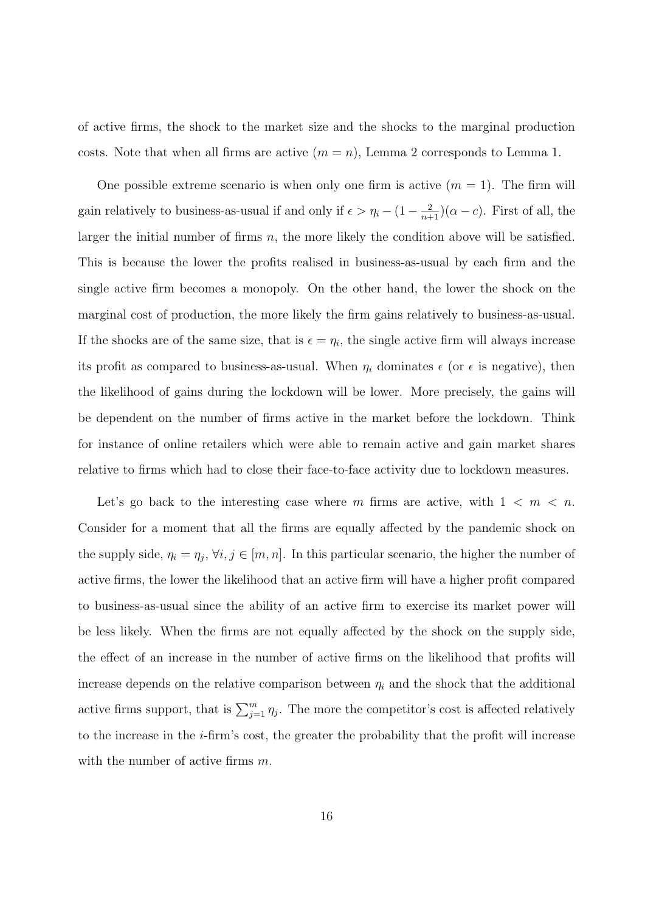of active firms, the shock to the market size and the shocks to the marginal production costs. Note that when all firms are active  $(m = n)$ , Lemma 2 corresponds to Lemma 1.

One possible extreme scenario is when only one firm is active  $(m = 1)$ . The firm will gain relatively to business-as-usual if and only if  $\epsilon > \eta_i - (1 - \frac{2}{n+1})(\alpha - c)$ . First of all, the larger the initial number of firms  $n$ , the more likely the condition above will be satisfied. This is because the lower the profits realised in business-as-usual by each firm and the single active firm becomes a monopoly. On the other hand, the lower the shock on the marginal cost of production, the more likely the firm gains relatively to business-as-usual. If the shocks are of the same size, that is  $\epsilon = \eta_i$ , the single active firm will always increase its profit as compared to business-as-usual. When  $\eta_i$  dominates  $\epsilon$  (or  $\epsilon$  is negative), then the likelihood of gains during the lockdown will be lower. More precisely, the gains will be dependent on the number of firms active in the market before the lockdown. Think for instance of online retailers which were able to remain active and gain market shares relative to firms which had to close their face-to-face activity due to lockdown measures.

Let's go back to the interesting case where m firms are active, with  $1 \lt m \lt n$ . Consider for a moment that all the firms are equally affected by the pandemic shock on the supply side,  $\eta_i = \eta_j$ ,  $\forall i, j \in [m, n]$ . In this particular scenario, the higher the number of active firms, the lower the likelihood that an active firm will have a higher profit compared to business-as-usual since the ability of an active firm to exercise its market power will be less likely. When the firms are not equally affected by the shock on the supply side, the effect of an increase in the number of active firms on the likelihood that profits will increase depends on the relative comparison between  $\eta_i$  and the shock that the additional active firms support, that is  $\sum_{j=1}^{m} \eta_j$ . The more the competitor's cost is affected relatively to the increase in the  $i$ -firm's cost, the greater the probability that the profit will increase with the number of active firms m.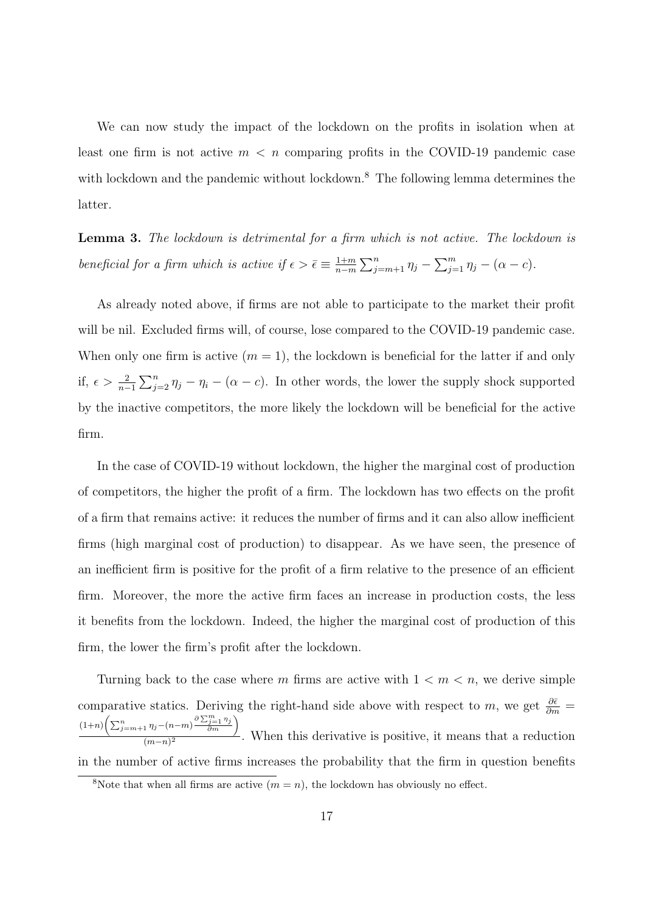We can now study the impact of the lockdown on the profits in isolation when at least one firm is not active  $m < n$  comparing profits in the COVID-19 pandemic case with lockdown and the pandemic without lockdown.<sup>8</sup> The following lemma determines the latter.

Lemma 3. The lockdown is detrimental for a firm which is not active. The lockdown is beneficial for a firm which is active if  $\epsilon > \bar{\epsilon} \equiv \frac{1+m}{n-m}$  $\frac{1+m}{n-m}$   $\sum_{j=m+1}^{n}$   $\eta_j$  −  $\sum_{j=1}^{m}$   $\eta_j$  −  $(\alpha - c)$ .

As already noted above, if firms are not able to participate to the market their profit will be nil. Excluded firms will, of course, lose compared to the COVID-19 pandemic case. When only one firm is active  $(m = 1)$ , the lockdown is beneficial for the latter if and only if,  $\epsilon > \frac{2}{n-1} \sum_{j=2}^{n} \eta_j - \eta_i - (\alpha - c)$ . In other words, the lower the supply shock supported by the inactive competitors, the more likely the lockdown will be beneficial for the active firm.

In the case of COVID-19 without lockdown, the higher the marginal cost of production of competitors, the higher the profit of a firm. The lockdown has two effects on the profit of a firm that remains active: it reduces the number of firms and it can also allow inefficient firms (high marginal cost of production) to disappear. As we have seen, the presence of an inefficient firm is positive for the profit of a firm relative to the presence of an efficient firm. Moreover, the more the active firm faces an increase in production costs, the less it benefits from the lockdown. Indeed, the higher the marginal cost of production of this firm, the lower the firm's profit after the lockdown.

Turning back to the case where m firms are active with  $1 < m < n$ , we derive simple comparative statics. Deriving the right-hand side above with respect to m, we get  $\frac{\partial \bar{\epsilon}}{\partial m}$  =  $(1+n)\bigg(\sum_{j=m+1}^n\eta_j-(n-m)\frac{\partial\sum_{j=1}^m\eta_j}{\partial m}\bigg)$  $\frac{(m-n)^2}{(m-n)^2}$ . When this derivative is positive, it means that a reduction in the number of active firms increases the probability that the firm in question benefits

<sup>&</sup>lt;sup>8</sup>Note that when all firms are active  $(m = n)$ , the lockdown has obviously no effect.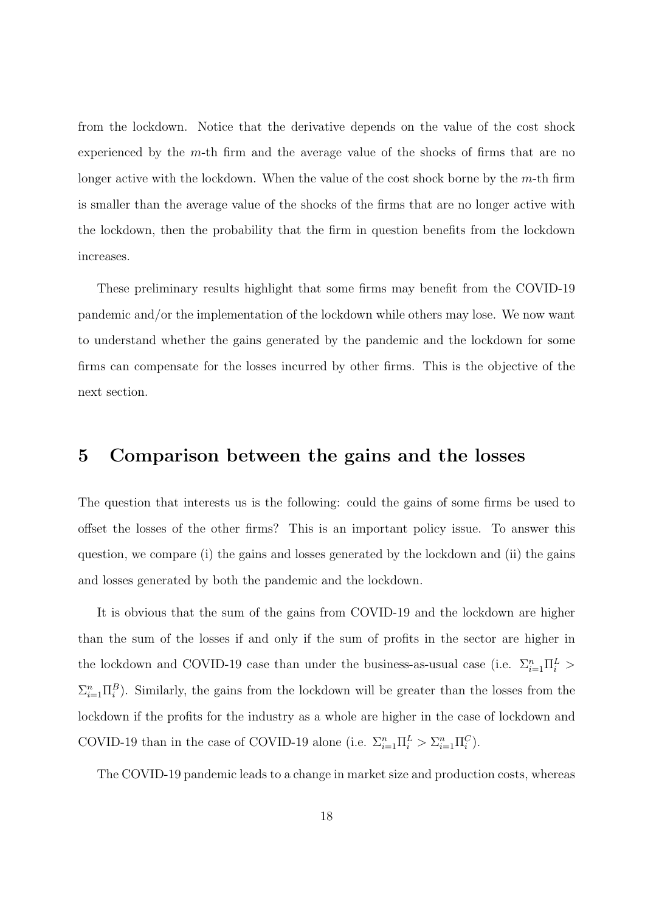from the lockdown. Notice that the derivative depends on the value of the cost shock experienced by the  $m$ -th firm and the average value of the shocks of firms that are no longer active with the lockdown. When the value of the cost shock borne by the  $m$ -th firm is smaller than the average value of the shocks of the firms that are no longer active with the lockdown, then the probability that the firm in question benefits from the lockdown increases.

These preliminary results highlight that some firms may benefit from the COVID-19 pandemic and/or the implementation of the lockdown while others may lose. We now want to understand whether the gains generated by the pandemic and the lockdown for some firms can compensate for the losses incurred by other firms. This is the objective of the next section.

### 5 Comparison between the gains and the losses

The question that interests us is the following: could the gains of some firms be used to offset the losses of the other firms? This is an important policy issue. To answer this question, we compare (i) the gains and losses generated by the lockdown and (ii) the gains and losses generated by both the pandemic and the lockdown.

It is obvious that the sum of the gains from COVID-19 and the lockdown are higher than the sum of the losses if and only if the sum of profits in the sector are higher in the lockdown and COVID-19 case than under the business-as-usual case (i.e.  $\Sigma_{i=1}^{n} \Pi_{i}^{L}$ )  $\sum_{i=1}^n \Pi_i^B$ ). Similarly, the gains from the lockdown will be greater than the losses from the lockdown if the profits for the industry as a whole are higher in the case of lockdown and COVID-19 than in the case of COVID-19 alone (i.e.  $\Sigma_{i=1}^n \Pi_i^L > \Sigma_{i=1}^n \Pi_i^C$ ).

The COVID-19 pandemic leads to a change in market size and production costs, whereas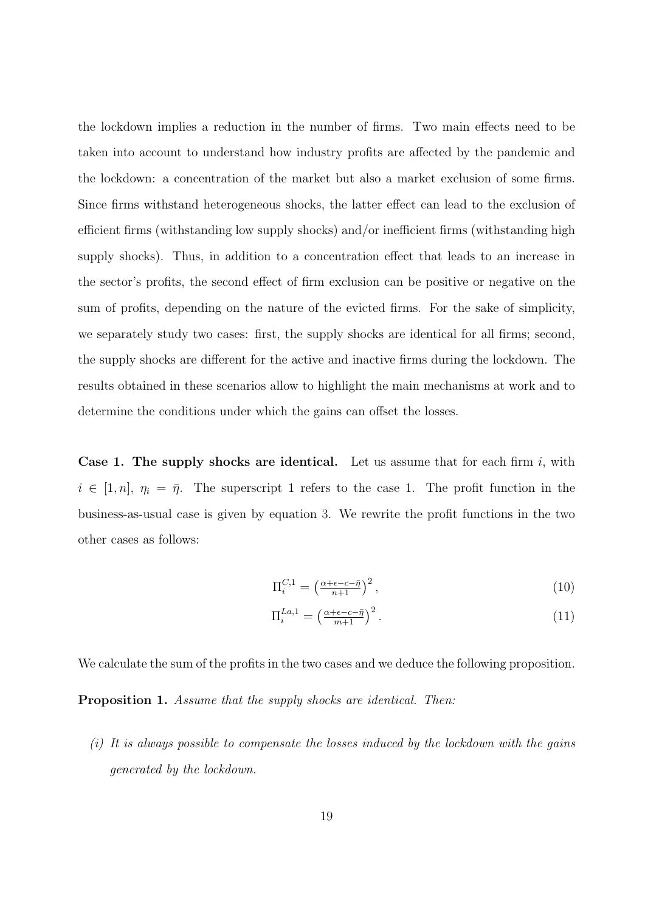the lockdown implies a reduction in the number of firms. Two main effects need to be taken into account to understand how industry profits are affected by the pandemic and the lockdown: a concentration of the market but also a market exclusion of some firms. Since firms withstand heterogeneous shocks, the latter effect can lead to the exclusion of efficient firms (withstanding low supply shocks) and/or inefficient firms (withstanding high supply shocks). Thus, in addition to a concentration effect that leads to an increase in the sector's profits, the second effect of firm exclusion can be positive or negative on the sum of profits, depending on the nature of the evicted firms. For the sake of simplicity, we separately study two cases: first, the supply shocks are identical for all firms; second, the supply shocks are different for the active and inactive firms during the lockdown. The results obtained in these scenarios allow to highlight the main mechanisms at work and to determine the conditions under which the gains can offset the losses.

**Case 1. The supply shocks are identical.** Let us assume that for each firm  $i$ , with  $i \in [1, n], \eta_i = \bar{\eta}$ . The superscript 1 refers to the case 1. The profit function in the business-as-usual case is given by equation 3. We rewrite the profit functions in the two other cases as follows:

$$
\Pi_i^{C,1} = \left(\frac{\alpha + \epsilon - c - \bar{\eta}}{n+1}\right)^2,\tag{10}
$$

$$
\Pi_i^{La,1} = \left(\frac{\alpha + \epsilon - c - \bar{\eta}}{m + 1}\right)^2. \tag{11}
$$

We calculate the sum of the profits in the two cases and we deduce the following proposition.

Proposition 1. Assume that the supply shocks are identical. Then:

 $(i)$  It is always possible to compensate the losses induced by the lockdown with the gains generated by the lockdown.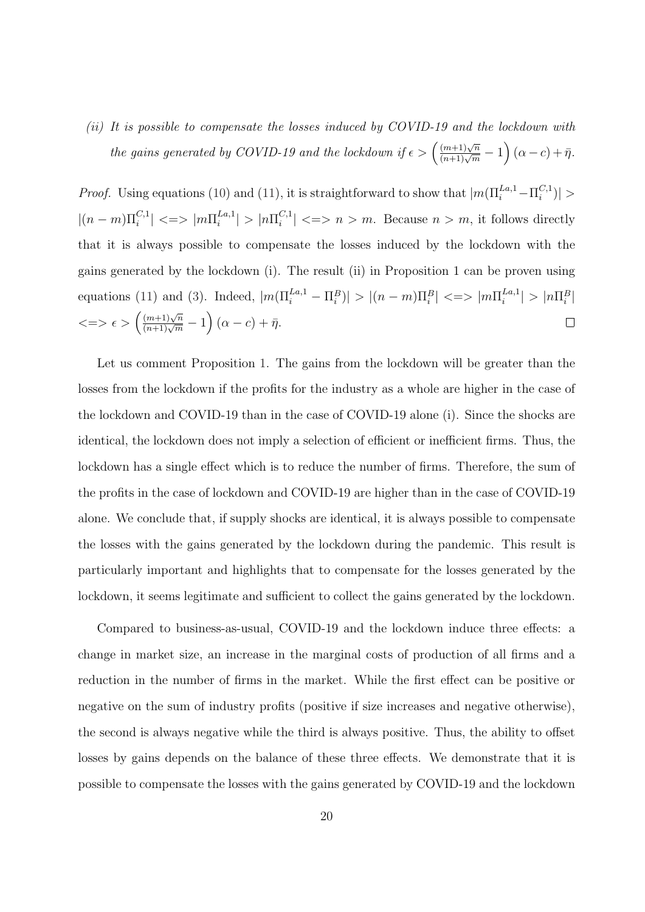(ii) It is possible to compensate the losses induced by COVID-19 and the lockdown with the gains generated by COVID-19 and the lockdown if  $\epsilon > \left(\frac{(m+1)\sqrt{n}}{(n+1)\sqrt{m}}-1\right)(\alpha-c)+\bar{\eta}$ .

*Proof.* Using equations (10) and (11), it is straightforward to show that  $|m(\Pi_i^{La,1} - \Pi_i^{C,1})|$  $\binom{C,1}{i}$  >  $|(n-m)\Pi_i^{C,1}| \ll\gg |m\Pi_i^{La,1}|$  $\left| \sum_{i=1}^{L a, 1} \right| > \left| n \prod_{i=1}^{C, 1} \right|$  $\binom{C+1}{i} \leq p \geq m$ . Because  $n > m$ , it follows directly that it is always possible to compensate the losses induced by the lockdown with the gains generated by the lockdown (i). The result (ii) in Proposition 1 can be proven using equations (11) and (3). Indeed,  $|m(\Pi_i^{La,1} - \Pi_i^B)| > |(n-m)\Pi_i^B| \ll \ge |m\Pi_i^{La,1}$  $\left| \sum_{i=1}^{L a, 1} \right| > \left| n \prod_{i=1}^{B} \right|$  $\langle \implies \epsilon \rangle \left( \frac{(m+1)\sqrt{n}}{(n+1)\sqrt{m}} - 1 \right) (\alpha - c) + \bar{\eta}.$  $\Box$ 

Let us comment Proposition 1. The gains from the lockdown will be greater than the losses from the lockdown if the profits for the industry as a whole are higher in the case of the lockdown and COVID-19 than in the case of COVID-19 alone (i). Since the shocks are identical, the lockdown does not imply a selection of efficient or inefficient firms. Thus, the lockdown has a single effect which is to reduce the number of firms. Therefore, the sum of the profits in the case of lockdown and COVID-19 are higher than in the case of COVID-19 alone. We conclude that, if supply shocks are identical, it is always possible to compensate the losses with the gains generated by the lockdown during the pandemic. This result is particularly important and highlights that to compensate for the losses generated by the lockdown, it seems legitimate and sufficient to collect the gains generated by the lockdown.

Compared to business-as-usual, COVID-19 and the lockdown induce three effects: a change in market size, an increase in the marginal costs of production of all firms and a reduction in the number of firms in the market. While the first effect can be positive or negative on the sum of industry profits (positive if size increases and negative otherwise), the second is always negative while the third is always positive. Thus, the ability to offset losses by gains depends on the balance of these three effects. We demonstrate that it is possible to compensate the losses with the gains generated by COVID-19 and the lockdown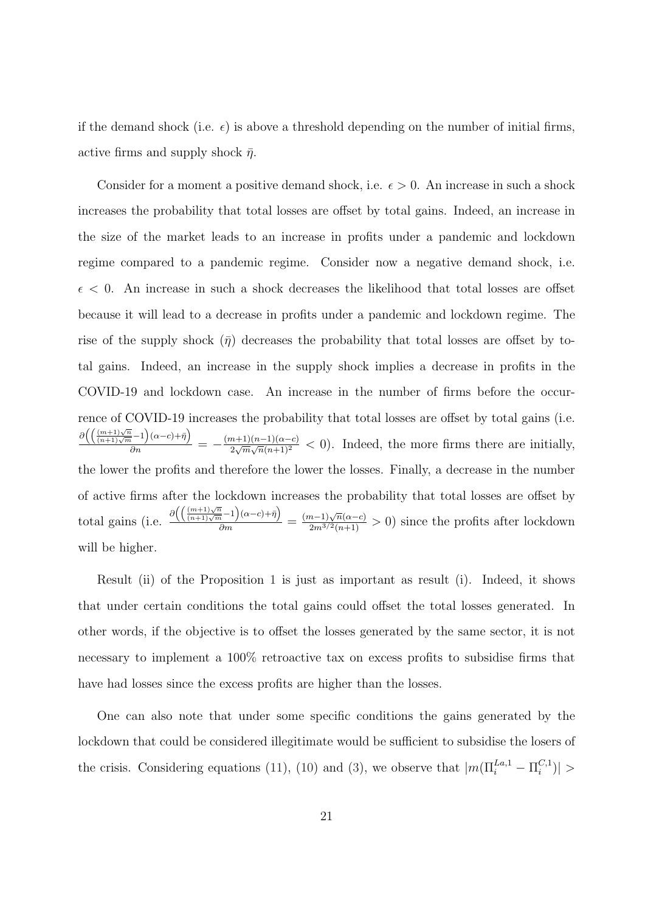if the demand shock (i.e.  $\epsilon$ ) is above a threshold depending on the number of initial firms, active firms and supply shock  $\bar{\eta}$ .

Consider for a moment a positive demand shock, i.e.  $\epsilon > 0$ . An increase in such a shock increases the probability that total losses are offset by total gains. Indeed, an increase in the size of the market leads to an increase in profits under a pandemic and lockdown regime compared to a pandemic regime. Consider now a negative demand shock, i.e.  $\epsilon$  < 0. An increase in such a shock decreases the likelihood that total losses are offset because it will lead to a decrease in profits under a pandemic and lockdown regime. The rise of the supply shock  $(\bar{\eta})$  decreases the probability that total losses are offset by total gains. Indeed, an increase in the supply shock implies a decrease in profits in the COVID-19 and lockdown case. An increase in the number of firms before the occurrence of COVID-19 increases the probability that total losses are offset by total gains (i.e.  $\partial \left( \left( \frac{(m+1)\sqrt{n}}{(n+1)\sqrt{m}}-1 \right) (\alpha-c)+\bar{\eta} \right)$  $\frac{(\frac{1}{n}-1)(\alpha-c)+\eta)}{\partial n} = -\frac{(m+1)(n-1)(\alpha-c)}{2\sqrt{m}\sqrt{n}(n+1)^2}$  $\frac{n+1(n-1)(n-c)}{2\sqrt{m}\sqrt{n}(n+1)^2}$  < 0). Indeed, the more firms there are initially, the lower the profits and therefore the lower the losses. Finally, a decrease in the number of active firms after the lockdown increases the probability that total losses are offset by total gains (i.e.  $\frac{\partial \left( \left( \frac{(m+1)\sqrt{n}}{(n+1)\sqrt{m}}-1 \right) (\alpha-c)+\bar{\eta} \right)}{\partial m}$  $\frac{1}{\partial m}$  =  $\frac{1}{\sqrt{2m}}$  =  $\frac{(m-1)\sqrt{n}(\alpha-c)}{2m^{3/2}(n+1)}$  > 0) since the profits after lockdown will be higher.

Result (ii) of the Proposition 1 is just as important as result (i). Indeed, it shows that under certain conditions the total gains could offset the total losses generated. In other words, if the objective is to offset the losses generated by the same sector, it is not necessary to implement a 100% retroactive tax on excess profits to subsidise firms that have had losses since the excess profits are higher than the losses.

One can also note that under some specific conditions the gains generated by the lockdown that could be considered illegitimate would be sufficient to subsidise the losers of the crisis. Considering equations (11), (10) and (3), we observe that  $|m(\Pi_i^{La,1} - \Pi_i^{C,1})|$  $\binom{C,1}{i}$  >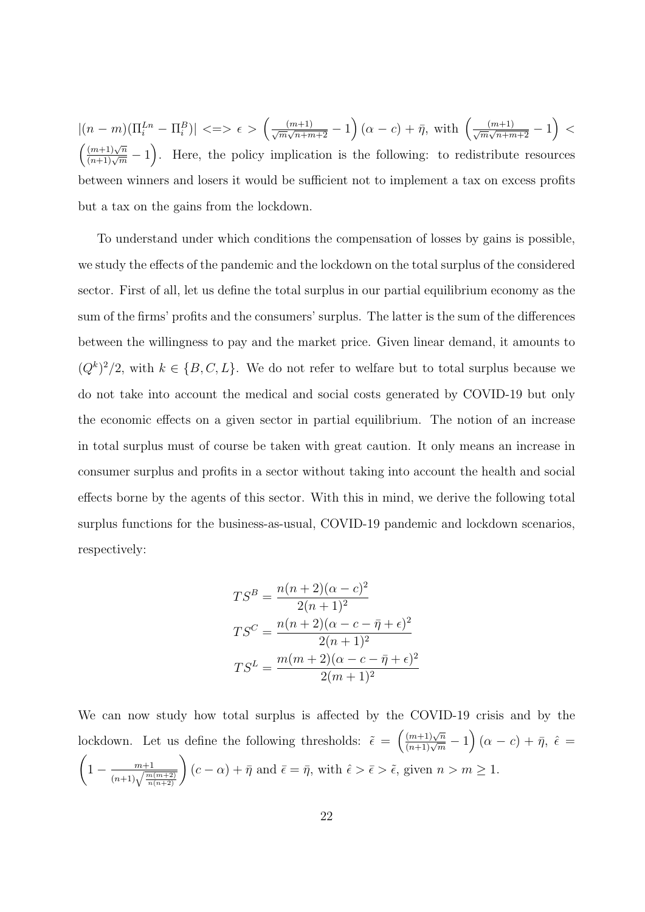$|(n-m)(\Pi_i^{Ln} - \Pi_i^B)| \leq \geq \epsilon > \left(\frac{(m+1)}{\sqrt{m}\sqrt{n+m+2}} - 1\right)(\alpha - c) + \bar{\eta}, \text{ with } \left(\frac{(m+1)}{\sqrt{m}\sqrt{n+m+2}} - 1\right)$  $\left(\frac{(m+1)\sqrt{n}}{(n+1)\sqrt{m}}-1\right)$ . Here, the policy implication is the following: to redistribute resources between winners and losers it would be sufficient not to implement a tax on excess profits but a tax on the gains from the lockdown.

To understand under which conditions the compensation of losses by gains is possible, we study the effects of the pandemic and the lockdown on the total surplus of the considered sector. First of all, let us define the total surplus in our partial equilibrium economy as the sum of the firms' profits and the consumers' surplus. The latter is the sum of the differences between the willingness to pay and the market price. Given linear demand, it amounts to  $(Q<sup>k</sup>)<sup>2</sup>/2$ , with  $k \in \{B, C, L\}$ . We do not refer to welfare but to total surplus because we do not take into account the medical and social costs generated by COVID-19 but only the economic effects on a given sector in partial equilibrium. The notion of an increase in total surplus must of course be taken with great caution. It only means an increase in consumer surplus and profits in a sector without taking into account the health and social effects borne by the agents of this sector. With this in mind, we derive the following total surplus functions for the business-as-usual, COVID-19 pandemic and lockdown scenarios, respectively:

$$
TS^{B} = \frac{n(n+2)(\alpha - c)^{2}}{2(n+1)^{2}}
$$

$$
TS^{C} = \frac{n(n+2)(\alpha - c - \bar{\eta} + \epsilon)^{2}}{2(n+1)^{2}}
$$

$$
TS^{L} = \frac{m(m+2)(\alpha - c - \bar{\eta} + \epsilon)^{2}}{2(m+1)^{2}}
$$

We can now study how total surplus is affected by the COVID-19 crisis and by the lockdown. Let us define the following thresholds:  $\tilde{\epsilon} = \left(\frac{(m+1)\sqrt{n}}{(n+1)\sqrt{m}}-1\right)(\alpha-c)+\bar{\eta}, \hat{\epsilon} =$  $\sqrt{ }$  $1 - \frac{m+1}{\sqrt{m}}$  $\frac{m+1}{(n+1)\sqrt{\frac{m(m+2)}{n(n+2)}}}$  $(c - \alpha) + \bar{\eta}$  and  $\bar{\epsilon} = \bar{\eta}$ , with  $\hat{\epsilon} > \bar{\epsilon} > \tilde{\epsilon}$ , given  $n > m \geq 1$ .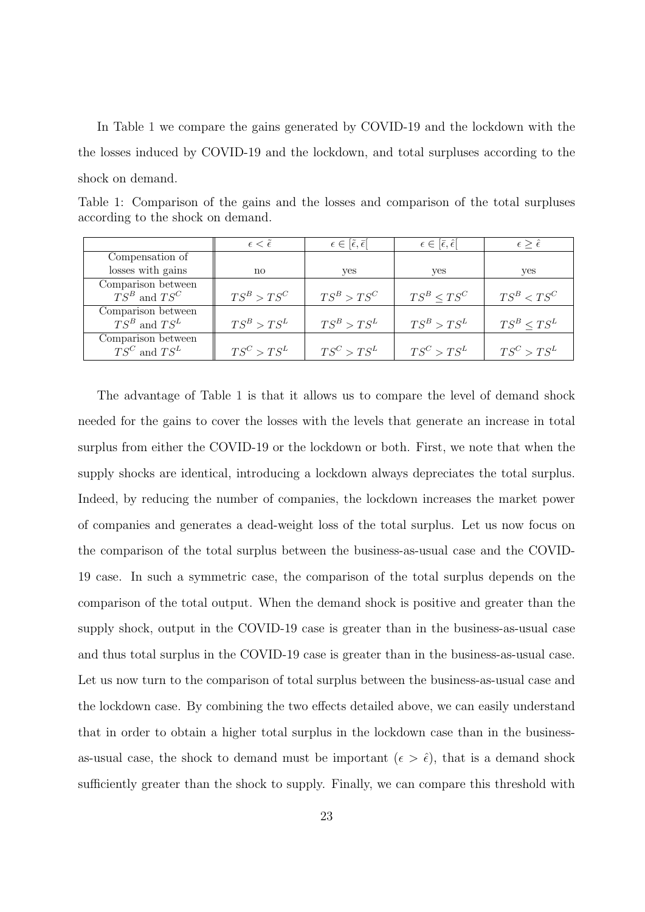In Table 1 we compare the gains generated by COVID-19 and the lockdown with the the losses induced by COVID-19 and the lockdown, and total surpluses according to the shock on demand.

| Table 1: Comparison of the gains and the losses and comparison of the total surpluses |  |  |  |  |  |  |
|---------------------------------------------------------------------------------------|--|--|--|--|--|--|
| according to the shock on demand.                                                     |  |  |  |  |  |  |

|                    | $\epsilon < \epsilon$ | $\epsilon \in [\tilde{\epsilon}, \bar{\epsilon}]$ | $\epsilon \in [\bar{\epsilon}, \hat{\epsilon}]$ | $\epsilon > \hat{\epsilon}$ |
|--------------------|-----------------------|---------------------------------------------------|-------------------------------------------------|-----------------------------|
| Compensation of    |                       |                                                   |                                                 |                             |
| losses with gains  | $\mathbf{n}$          | yes                                               | yes                                             | yes                         |
| Comparison between |                       |                                                   |                                                 |                             |
| $TS^B$ and $TS^C$  | $TS^B > TS^C$         | $TS^B > TS^C$                                     | $TS^B < TS^C$                                   | $TS^B < TS^C$               |
| Comparison between |                       |                                                   |                                                 |                             |
| $TS^B$ and $TS^L$  | $TS^B > TS^L$         | $TS^B > TS^L$                                     | $TS^B > TS^L$                                   | $TS^B < TS^L$               |
| Comparison between |                       |                                                   |                                                 |                             |
| $TS^C$ and $TS^L$  | $TS^C > TS^L$         | $TS^C > TS^L$                                     | $TS^C > TS^L$                                   | $TS^C > TS^L$               |

The advantage of Table 1 is that it allows us to compare the level of demand shock needed for the gains to cover the losses with the levels that generate an increase in total surplus from either the COVID-19 or the lockdown or both. First, we note that when the supply shocks are identical, introducing a lockdown always depreciates the total surplus. Indeed, by reducing the number of companies, the lockdown increases the market power of companies and generates a dead-weight loss of the total surplus. Let us now focus on the comparison of the total surplus between the business-as-usual case and the COVID-19 case. In such a symmetric case, the comparison of the total surplus depends on the comparison of the total output. When the demand shock is positive and greater than the supply shock, output in the COVID-19 case is greater than in the business-as-usual case and thus total surplus in the COVID-19 case is greater than in the business-as-usual case. Let us now turn to the comparison of total surplus between the business-as-usual case and the lockdown case. By combining the two effects detailed above, we can easily understand that in order to obtain a higher total surplus in the lockdown case than in the businessas-usual case, the shock to demand must be important  $(\epsilon > \hat{\epsilon})$ , that is a demand shock sufficiently greater than the shock to supply. Finally, we can compare this threshold with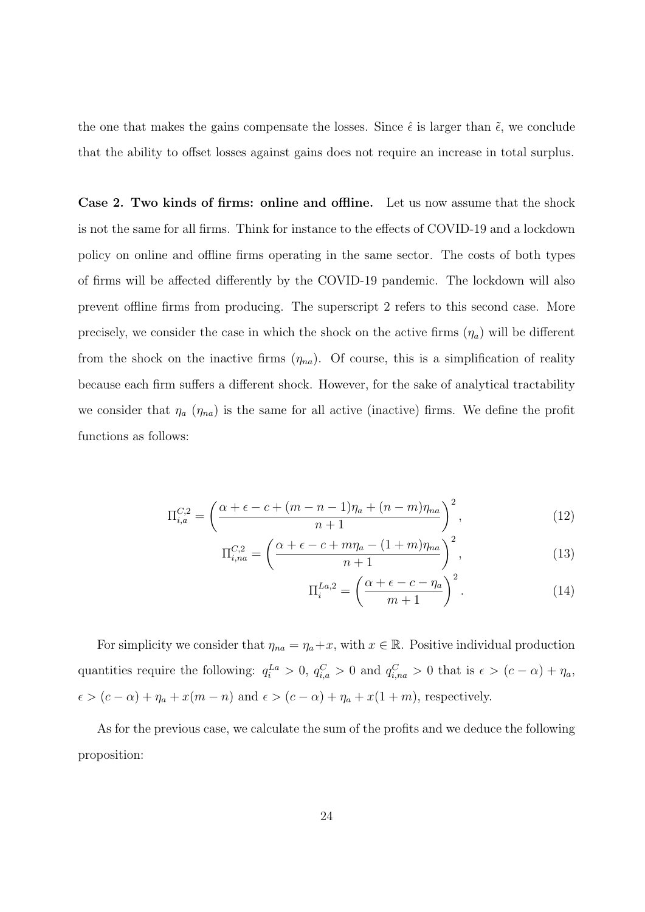the one that makes the gains compensate the losses. Since  $\hat{\epsilon}$  is larger than  $\tilde{\epsilon}$ , we conclude that the ability to offset losses against gains does not require an increase in total surplus.

Case 2. Two kinds of firms: online and offline. Let us now assume that the shock is not the same for all firms. Think for instance to the effects of COVID-19 and a lockdown policy on online and offline firms operating in the same sector. The costs of both types of firms will be affected differently by the COVID-19 pandemic. The lockdown will also prevent offline firms from producing. The superscript 2 refers to this second case. More precisely, we consider the case in which the shock on the active firms  $(\eta_a)$  will be different from the shock on the inactive firms  $(\eta_{na})$ . Of course, this is a simplification of reality because each firm suffers a different shock. However, for the sake of analytical tractability we consider that  $\eta_a$  ( $\eta_{na}$ ) is the same for all active (inactive) firms. We define the profit functions as follows:

$$
\Pi_{i,a}^{C,2} = \left(\frac{\alpha + \epsilon - c + (m - n - 1)\eta_a + (n - m)\eta_{na}}{n + 1}\right)^2, \tag{12}
$$

$$
\Pi_{i,na}^{C,2} = \left(\frac{\alpha + \epsilon - c + m\eta_a - (1+m)\eta_{na}}{n+1}\right)^2,\tag{13}
$$

$$
\Pi_i^{La,2} = \left(\frac{\alpha + \epsilon - c - \eta_a}{m + 1}\right)^2.
$$
 (14)

For simplicity we consider that  $\eta_{na} = \eta_a + x$ , with  $x \in \mathbb{R}$ . Positive individual production quantities require the following:  $q_i^{La} > 0$ ,  $q_{i,a}^C > 0$  and  $q_{i,na}^C > 0$  that is  $\epsilon > (c - \alpha) + \eta_a$ ,  $\epsilon > (c - \alpha) + \eta_a + x(m - n)$  and  $\epsilon > (c - \alpha) + \eta_a + x(1 + m)$ , respectively.

As for the previous case, we calculate the sum of the profits and we deduce the following proposition: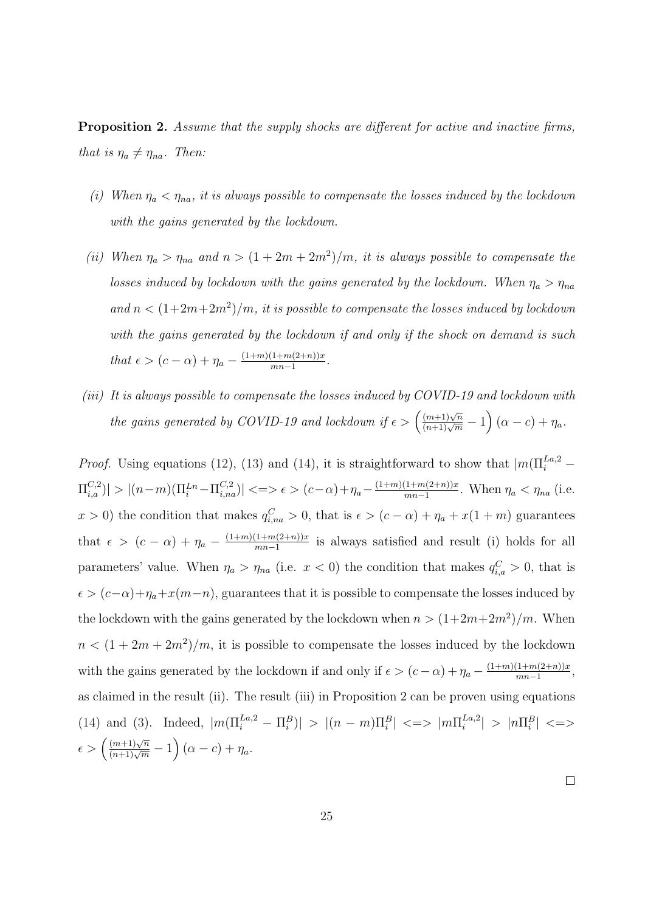**Proposition 2.** Assume that the supply shocks are different for active and inactive firms, that is  $\eta_a \neq \eta_{na}$ . Then:

- (i) When  $\eta_a < \eta_{na}$ , it is always possible to compensate the losses induced by the lockdown with the gains generated by the lockdown.
- (ii) When  $\eta_a > \eta_{na}$  and  $n > (1 + 2m + 2m^2)/m$ , it is always possible to compensate the losses induced by lockdown with the gains generated by the lockdown. When  $\eta_a > \eta_{na}$ and  $n < (1+2m+2m^2)/m$ , it is possible to compensate the losses induced by lockdown with the gains generated by the lockdown if and only if the shock on demand is such that  $\epsilon > (c - \alpha) + \eta_a - \frac{(1+m)(1+m(2+n))x}{mn-1}$  $\frac{1+m(2+n))x}{mn-1}$ .
- (iii) It is always possible to compensate the losses induced by COVID-19 and lockdown with the gains generated by COVID-19 and lockdown if  $\epsilon > (\frac{(m+1)\sqrt{n}}{(n+1)\sqrt{m}}-1)(\alpha-c)+\eta_a$ .

*Proof.* Using equations (12), (13) and (14), it is straightforward to show that  $|m(\Pi_i^{La,2} |\Pi_{i,a}^{C,2}|>|(n-m)(\Pi_{i}^{Ln}-\Pi_{i,na}^{C,2})| \ll\Rightarrow \epsilon>(c-\alpha)+\eta_a-\frac{(1+m)(1+m(2+n))x}{mn-1}$  $\frac{(1+m(2+n))x}{mn-1}$ . When  $\eta_a < \eta_{na}$  (i.e.  $x > 0$ ) the condition that makes  $q_{i,na}^C > 0$ , that is  $\epsilon > (c - \alpha) + \eta_a + x(1 + m)$  guarantees that  $\epsilon > (c - \alpha) + \eta_a - \frac{(1+m)(1+m(2+n))x}{mn-1}$  $\frac{(1+m(2+n))x}{mn-1}$  is always satisfied and result (i) holds for all parameters' value. When  $\eta_a > \eta_{na}$  (i.e.  $x < 0$ ) the condition that makes  $q_{i,a}^C > 0$ , that is  $\epsilon > (c-\alpha)+\eta_a+x(m-n)$ , guarantees that it is possible to compensate the losses induced by the lockdown with the gains generated by the lockdown when  $n > (1+2m+2m^2)/m$ . When  $n < (1 + 2m + 2m^2)/m$ , it is possible to compensate the losses induced by the lockdown with the gains generated by the lockdown if and only if  $\epsilon > (c - \alpha) + \eta_a - \frac{(1+m)(1+m(2+n))x}{mn-1}$  $\frac{(1+m(2+n))x}{mn-1},$ as claimed in the result (ii). The result (iii) in Proposition 2 can be proven using equations (14) and (3). Indeed,  $|m(\Pi_i^{La,2} - \Pi_i^B)| > |(n-m)\Pi_i^B| \leq > |m\Pi_i^{La,2}|$  $\left| \sum_{i=1}^{L a, 2} \right| > \left| n \prod_{i=1}^{B} \right| \leq 1$  $\epsilon > \left(\frac{(m+1)\sqrt{n}}{(n+1)\sqrt{m}}-1\right)(\alpha-c)+\eta_a.$ 

 $\Box$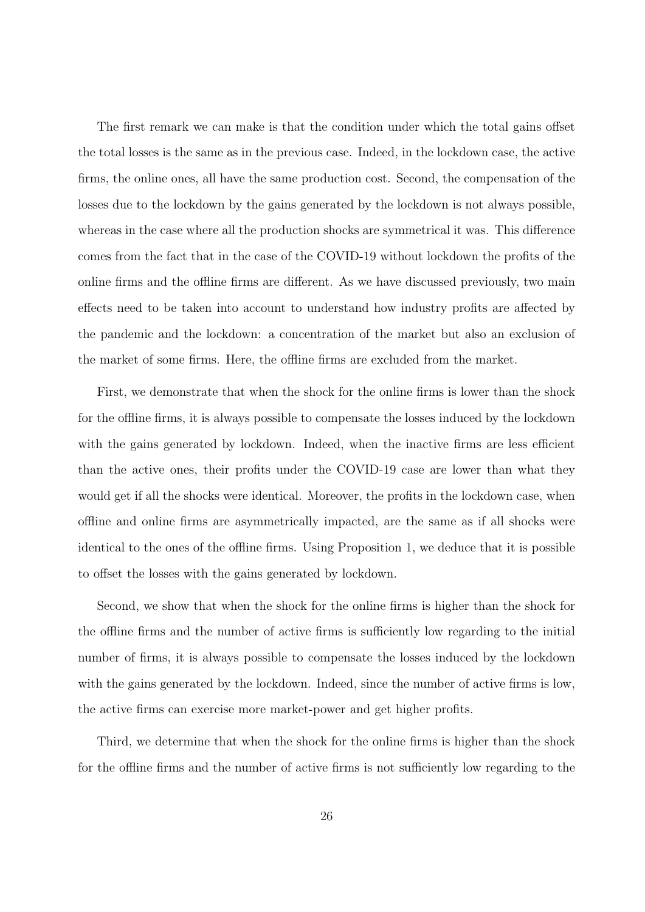The first remark we can make is that the condition under which the total gains offset the total losses is the same as in the previous case. Indeed, in the lockdown case, the active firms, the online ones, all have the same production cost. Second, the compensation of the losses due to the lockdown by the gains generated by the lockdown is not always possible, whereas in the case where all the production shocks are symmetrical it was. This difference comes from the fact that in the case of the COVID-19 without lockdown the profits of the online firms and the offline firms are different. As we have discussed previously, two main effects need to be taken into account to understand how industry profits are affected by the pandemic and the lockdown: a concentration of the market but also an exclusion of the market of some firms. Here, the offline firms are excluded from the market.

First, we demonstrate that when the shock for the online firms is lower than the shock for the offline firms, it is always possible to compensate the losses induced by the lockdown with the gains generated by lockdown. Indeed, when the inactive firms are less efficient than the active ones, their profits under the COVID-19 case are lower than what they would get if all the shocks were identical. Moreover, the profits in the lockdown case, when offline and online firms are asymmetrically impacted, are the same as if all shocks were identical to the ones of the offline firms. Using Proposition 1, we deduce that it is possible to offset the losses with the gains generated by lockdown.

Second, we show that when the shock for the online firms is higher than the shock for the offline firms and the number of active firms is sufficiently low regarding to the initial number of firms, it is always possible to compensate the losses induced by the lockdown with the gains generated by the lockdown. Indeed, since the number of active firms is low, the active firms can exercise more market-power and get higher profits.

Third, we determine that when the shock for the online firms is higher than the shock for the offline firms and the number of active firms is not sufficiently low regarding to the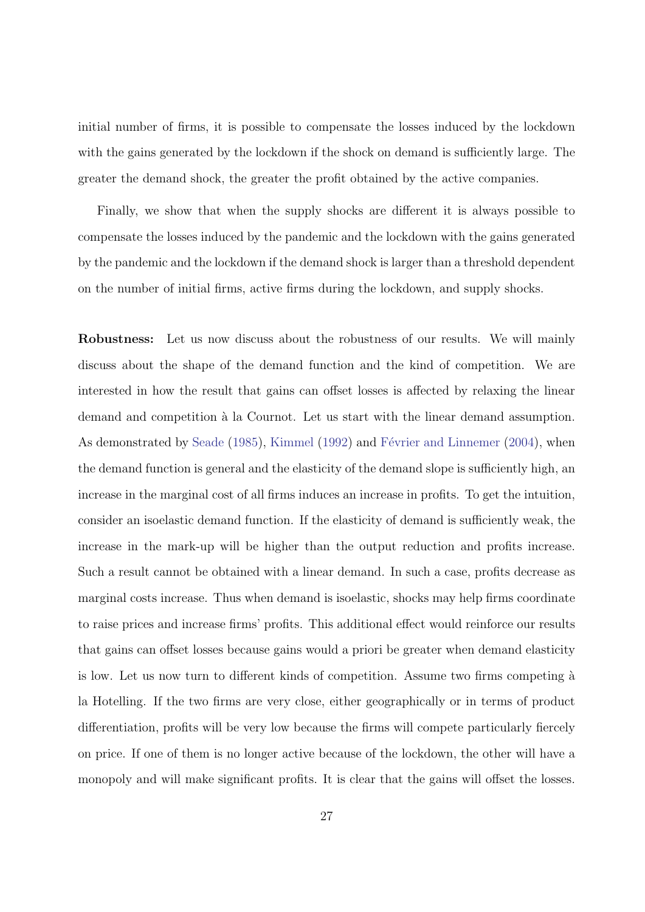initial number of firms, it is possible to compensate the losses induced by the lockdown with the gains generated by the lockdown if the shock on demand is sufficiently large. The greater the demand shock, the greater the profit obtained by the active companies.

Finally, we show that when the supply shocks are different it is always possible to compensate the losses induced by the pandemic and the lockdown with the gains generated by the pandemic and the lockdown if the demand shock is larger than a threshold dependent on the number of initial firms, active firms during the lockdown, and supply shocks.

Robustness: Let us now discuss about the robustness of our results. We will mainly discuss about the shape of the demand function and the kind of competition. We are interested in how the result that gains can offset losses is affected by relaxing the linear demand and competition à la Cournot. Let us start with the linear demand assumption. As demonstrated by Seade (1985), Kimmel (1992) and Février and Linnemer (2004), when the demand function is general and the elasticity of the demand slope is sufficiently high, an increase in the marginal cost of all firms induces an increase in profits. To get the intuition, consider an isoelastic demand function. If the elasticity of demand is sufficiently weak, the increase in the mark-up will be higher than the output reduction and profits increase. Such a result cannot be obtained with a linear demand. In such a case, profits decrease as marginal costs increase. Thus when demand is isoelastic, shocks may help firms coordinate to raise prices and increase firms' profits. This additional effect would reinforce our results that gains can offset losses because gains would a priori be greater when demand elasticity is low. Let us now turn to different kinds of competition. Assume two firms competing  $\hat{a}$ la Hotelling. If the two firms are very close, either geographically or in terms of product differentiation, profits will be very low because the firms will compete particularly fiercely on price. If one of them is no longer active because of the lockdown, the other will have a monopoly and will make significant profits. It is clear that the gains will offset the losses.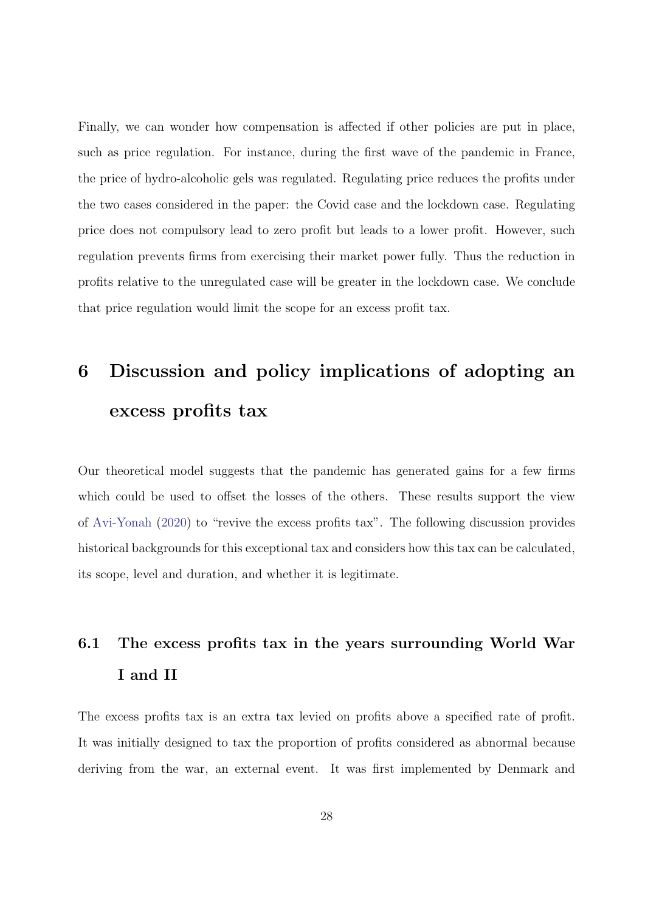Finally, we can wonder how compensation is affected if other policies are put in place, such as price regulation. For instance, during the first wave of the pandemic in France, the price of hydro-alcoholic gels was regulated. Regulating price reduces the profits under the two cases considered in the paper: the Covid case and the lockdown case. Regulating price does not compulsory lead to zero profit but leads to a lower profit. However, such regulation prevents firms from exercising their market power fully. Thus the reduction in profits relative to the unregulated case will be greater in the lockdown case. We conclude that price regulation would limit the scope for an excess profit tax.

## 6 Discussion and policy implications of adopting an excess profits tax

Our theoretical model suggests that the pandemic has generated gains for a few firms which could be used to offset the losses of the others. These results support the view of Avi-Yonah (2020) to "revive the excess profits tax". The following discussion provides historical backgrounds for this exceptional tax and considers how this tax can be calculated, its scope, level and duration, and whether it is legitimate.

### 6.1 The excess profits tax in the years surrounding World War I and II

The excess profits tax is an extra tax levied on profits above a specified rate of profit. It was initially designed to tax the proportion of profits considered as abnormal because deriving from the war, an external event. It was first implemented by Denmark and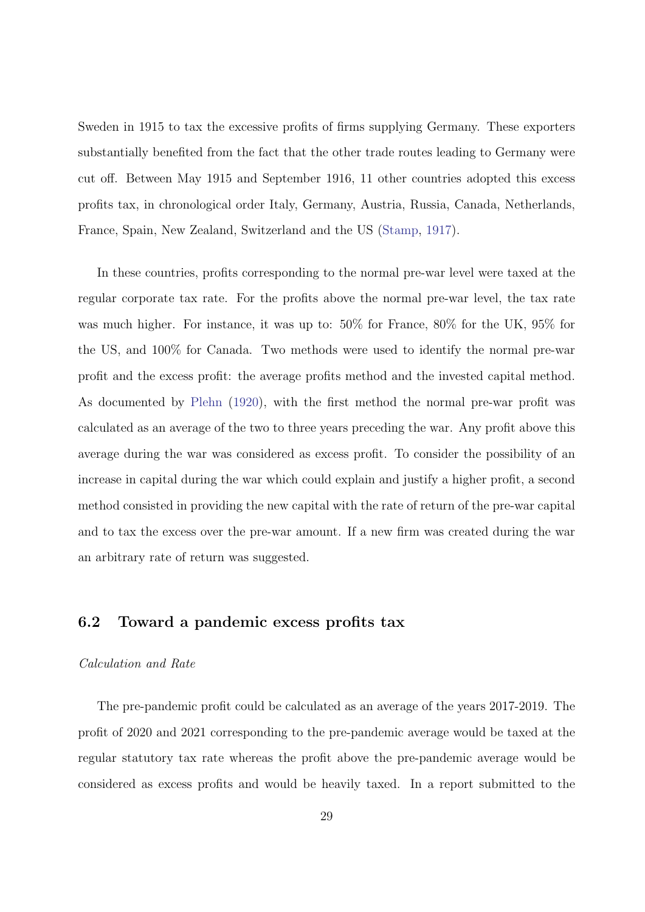Sweden in 1915 to tax the excessive profits of firms supplying Germany. These exporters substantially benefited from the fact that the other trade routes leading to Germany were cut off. Between May 1915 and September 1916, 11 other countries adopted this excess profits tax, in chronological order Italy, Germany, Austria, Russia, Canada, Netherlands, France, Spain, New Zealand, Switzerland and the US (Stamp, 1917).

In these countries, profits corresponding to the normal pre-war level were taxed at the regular corporate tax rate. For the profits above the normal pre-war level, the tax rate was much higher. For instance, it was up to: 50% for France, 80% for the UK, 95% for the US, and 100% for Canada. Two methods were used to identify the normal pre-war profit and the excess profit: the average profits method and the invested capital method. As documented by Plehn (1920), with the first method the normal pre-war profit was calculated as an average of the two to three years preceding the war. Any profit above this average during the war was considered as excess profit. To consider the possibility of an increase in capital during the war which could explain and justify a higher profit, a second method consisted in providing the new capital with the rate of return of the pre-war capital and to tax the excess over the pre-war amount. If a new firm was created during the war an arbitrary rate of return was suggested.

### 6.2 Toward a pandemic excess profits tax

### Calculation and Rate

The pre-pandemic profit could be calculated as an average of the years 2017-2019. The profit of 2020 and 2021 corresponding to the pre-pandemic average would be taxed at the regular statutory tax rate whereas the profit above the pre-pandemic average would be considered as excess profits and would be heavily taxed. In a report submitted to the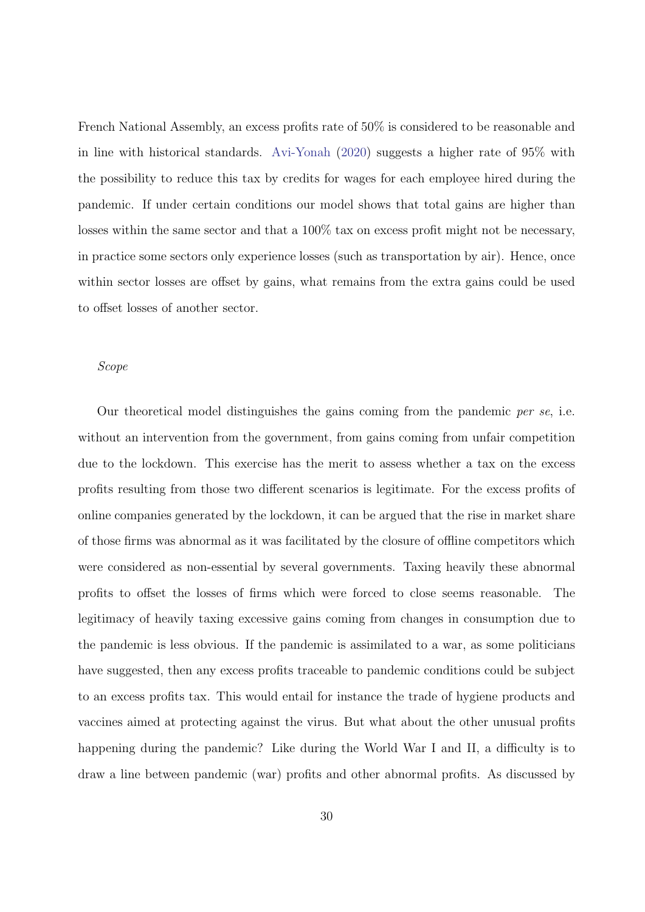French National Assembly, an excess profits rate of 50% is considered to be reasonable and in line with historical standards. Avi-Yonah (2020) suggests a higher rate of 95% with the possibility to reduce this tax by credits for wages for each employee hired during the pandemic. If under certain conditions our model shows that total gains are higher than losses within the same sector and that a 100% tax on excess profit might not be necessary, in practice some sectors only experience losses (such as transportation by air). Hence, once within sector losses are offset by gains, what remains from the extra gains could be used to offset losses of another sector.

#### Scope

Our theoretical model distinguishes the gains coming from the pandemic per se, i.e. without an intervention from the government, from gains coming from unfair competition due to the lockdown. This exercise has the merit to assess whether a tax on the excess profits resulting from those two different scenarios is legitimate. For the excess profits of online companies generated by the lockdown, it can be argued that the rise in market share of those firms was abnormal as it was facilitated by the closure of offline competitors which were considered as non-essential by several governments. Taxing heavily these abnormal profits to offset the losses of firms which were forced to close seems reasonable. The legitimacy of heavily taxing excessive gains coming from changes in consumption due to the pandemic is less obvious. If the pandemic is assimilated to a war, as some politicians have suggested, then any excess profits traceable to pandemic conditions could be subject to an excess profits tax. This would entail for instance the trade of hygiene products and vaccines aimed at protecting against the virus. But what about the other unusual profits happening during the pandemic? Like during the World War I and II, a difficulty is to draw a line between pandemic (war) profits and other abnormal profits. As discussed by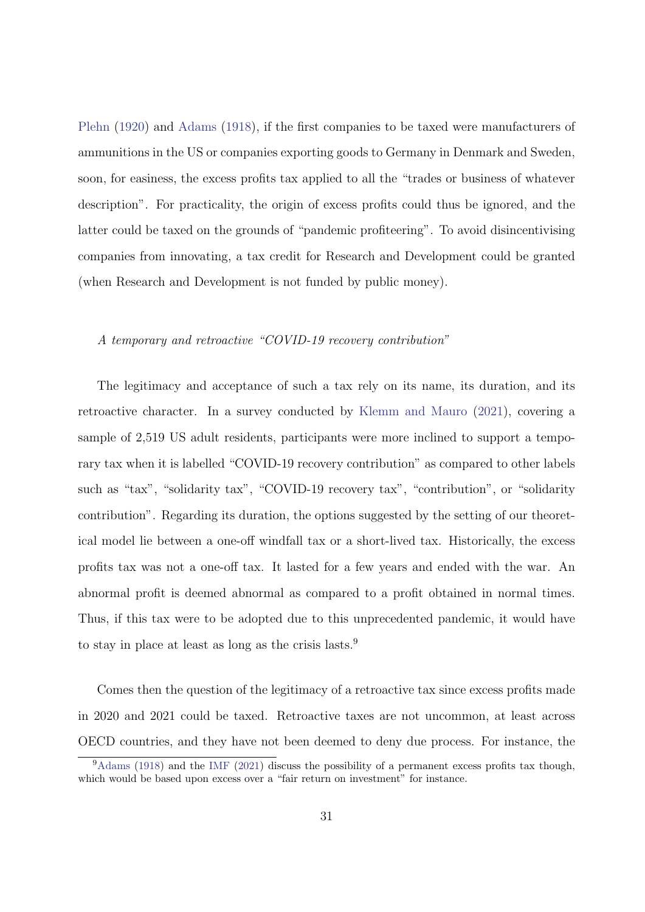Plehn (1920) and Adams (1918), if the first companies to be taxed were manufacturers of ammunitions in the US or companies exporting goods to Germany in Denmark and Sweden, soon, for easiness, the excess profits tax applied to all the "trades or business of whatever description". For practicality, the origin of excess profits could thus be ignored, and the latter could be taxed on the grounds of "pandemic profiteering". To avoid disincentivising companies from innovating, a tax credit for Research and Development could be granted (when Research and Development is not funded by public money).

### A temporary and retroactive "COVID-19 recovery contribution"

The legitimacy and acceptance of such a tax rely on its name, its duration, and its retroactive character. In a survey conducted by Klemm and Mauro (2021), covering a sample of 2,519 US adult residents, participants were more inclined to support a temporary tax when it is labelled "COVID-19 recovery contribution" as compared to other labels such as "tax", "solidarity tax", "COVID-19 recovery tax", "contribution", or "solidarity contribution". Regarding its duration, the options suggested by the setting of our theoretical model lie between a one-off windfall tax or a short-lived tax. Historically, the excess profits tax was not a one-off tax. It lasted for a few years and ended with the war. An abnormal profit is deemed abnormal as compared to a profit obtained in normal times. Thus, if this tax were to be adopted due to this unprecedented pandemic, it would have to stay in place at least as long as the crisis lasts.<sup>9</sup>

Comes then the question of the legitimacy of a retroactive tax since excess profits made in 2020 and 2021 could be taxed. Retroactive taxes are not uncommon, at least across OECD countries, and they have not been deemed to deny due process. For instance, the

 $9$ Adams (1918) and the IMF (2021) discuss the possibility of a permanent excess profits tax though, which would be based upon excess over a "fair return on investment" for instance.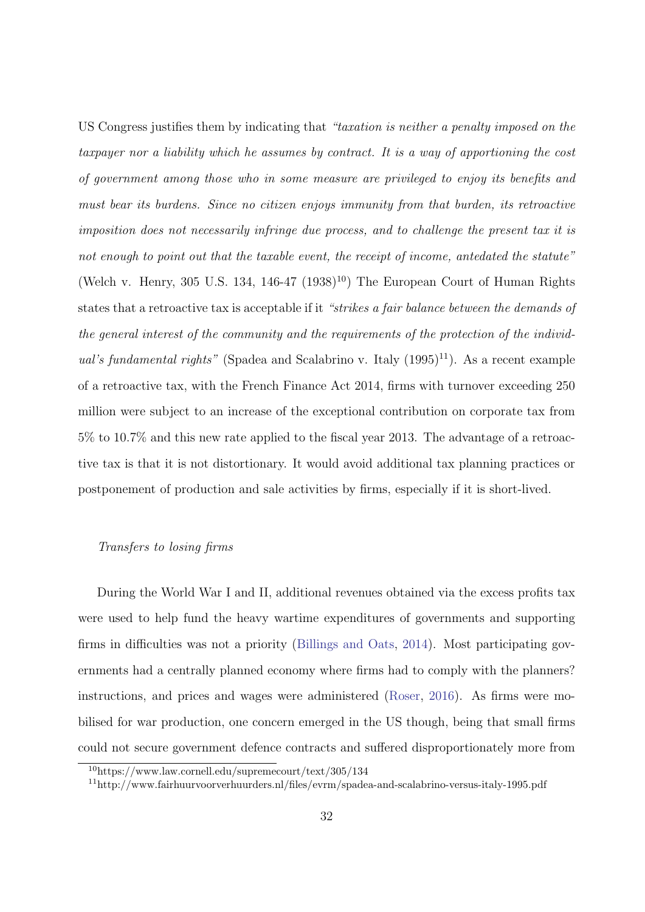US Congress justifies them by indicating that "taxation is neither a penalty imposed on the taxpayer nor a liability which he assumes by contract. It is a way of apportioning the cost of government among those who in some measure are privileged to enjoy its benefits and must bear its burdens. Since no citizen enjoys immunity from that burden, its retroactive imposition does not necessarily infringe due process, and to challenge the present tax it is not enough to point out that the taxable event, the receipt of income, antedated the statute" (Welch v. Henry, 305 U.S. 134, 146-47  $(1938)^{10}$ ) The European Court of Human Rights states that a retroactive tax is acceptable if it "strikes a fair balance between the demands of the general interest of the community and the requirements of the protection of the individual's fundamental rights" (Spadea and Scalabrino v. Italy  $(1995)^{11}$ ). As a recent example of a retroactive tax, with the French Finance Act 2014, firms with turnover exceeding 250 million were subject to an increase of the exceptional contribution on corporate tax from 5% to 10.7% and this new rate applied to the fiscal year 2013. The advantage of a retroactive tax is that it is not distortionary. It would avoid additional tax planning practices or postponement of production and sale activities by firms, especially if it is short-lived.

### Transfers to losing firms

During the World War I and II, additional revenues obtained via the excess profits tax were used to help fund the heavy wartime expenditures of governments and supporting firms in difficulties was not a priority (Billings and Oats, 2014). Most participating governments had a centrally planned economy where firms had to comply with the planners? instructions, and prices and wages were administered (Roser, 2016). As firms were mobilised for war production, one concern emerged in the US though, being that small firms could not secure government defence contracts and suffered disproportionately more from

<sup>10</sup>https://www.law.cornell.edu/supremecourt/text/305/134

<sup>11</sup>http://www.fairhuurvoorverhuurders.nl/files/evrm/spadea-and-scalabrino-versus-italy-1995.pdf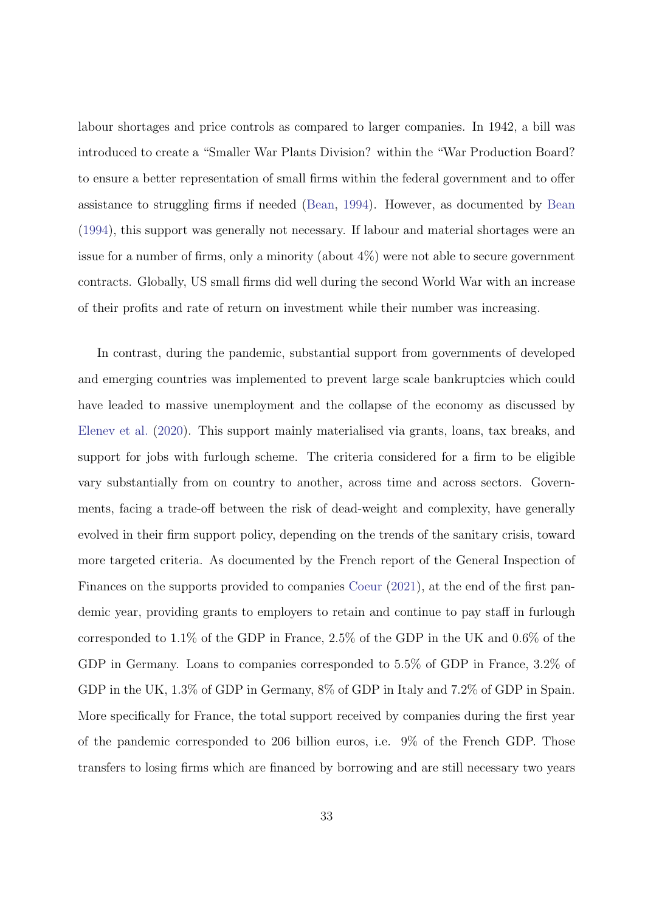labour shortages and price controls as compared to larger companies. In 1942, a bill was introduced to create a "Smaller War Plants Division? within the "War Production Board? to ensure a better representation of small firms within the federal government and to offer assistance to struggling firms if needed (Bean, 1994). However, as documented by Bean (1994), this support was generally not necessary. If labour and material shortages were an issue for a number of firms, only a minority (about 4%) were not able to secure government contracts. Globally, US small firms did well during the second World War with an increase of their profits and rate of return on investment while their number was increasing.

In contrast, during the pandemic, substantial support from governments of developed and emerging countries was implemented to prevent large scale bankruptcies which could have leaded to massive unemployment and the collapse of the economy as discussed by Elenev et al. (2020). This support mainly materialised via grants, loans, tax breaks, and support for jobs with furlough scheme. The criteria considered for a firm to be eligible vary substantially from on country to another, across time and across sectors. Governments, facing a trade-off between the risk of dead-weight and complexity, have generally evolved in their firm support policy, depending on the trends of the sanitary crisis, toward more targeted criteria. As documented by the French report of the General Inspection of Finances on the supports provided to companies Coeur (2021), at the end of the first pandemic year, providing grants to employers to retain and continue to pay staff in furlough corresponded to 1.1% of the GDP in France, 2.5% of the GDP in the UK and 0.6% of the GDP in Germany. Loans to companies corresponded to 5.5% of GDP in France, 3.2% of GDP in the UK, 1.3% of GDP in Germany, 8% of GDP in Italy and 7.2% of GDP in Spain. More specifically for France, the total support received by companies during the first year of the pandemic corresponded to 206 billion euros, i.e. 9% of the French GDP. Those transfers to losing firms which are financed by borrowing and are still necessary two years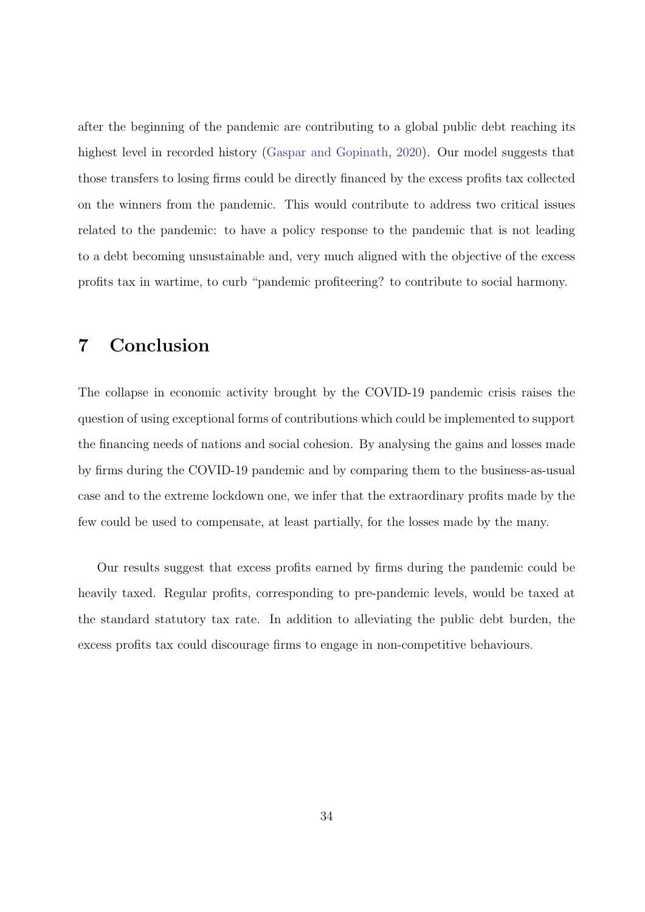after the beginning of the pandemic are contributing to a global public debt reaching its highest level in recorded history (Gaspar and Gopinath, 2020). Our model suggests that those transfers to losing firms could be directly financed by the excess profits tax collected on the winners from the pandemic. This would contribute to address two critical issues related to the pandemic: to have a policy response to the pandemic that is not leading to a debt becoming unsustainable and, very much aligned with the objective of the excess profits tax in wartime, to curb "pandemic profiteering? to contribute to social harmony.

### 7 Conclusion

The collapse in economic activity brought by the COVID-19 pandemic crisis raises the question of using exceptional forms of contributions which could be implemented to support the financing needs of nations and social cohesion. By analysing the gains and losses made by firms during the COVID-19 pandemic and by comparing them to the business-as-usual case and to the extreme lockdown one, we infer that the extraordinary profits made by the few could be used to compensate, at least partially, for the losses made by the many.

Our results suggest that excess profits earned by firms during the pandemic could be heavily taxed. Regular profits, corresponding to pre-pandemic levels, would be taxed at the standard statutory tax rate. In addition to alleviating the public debt burden, the excess profits tax could discourage firms to engage in non-competitive behaviours.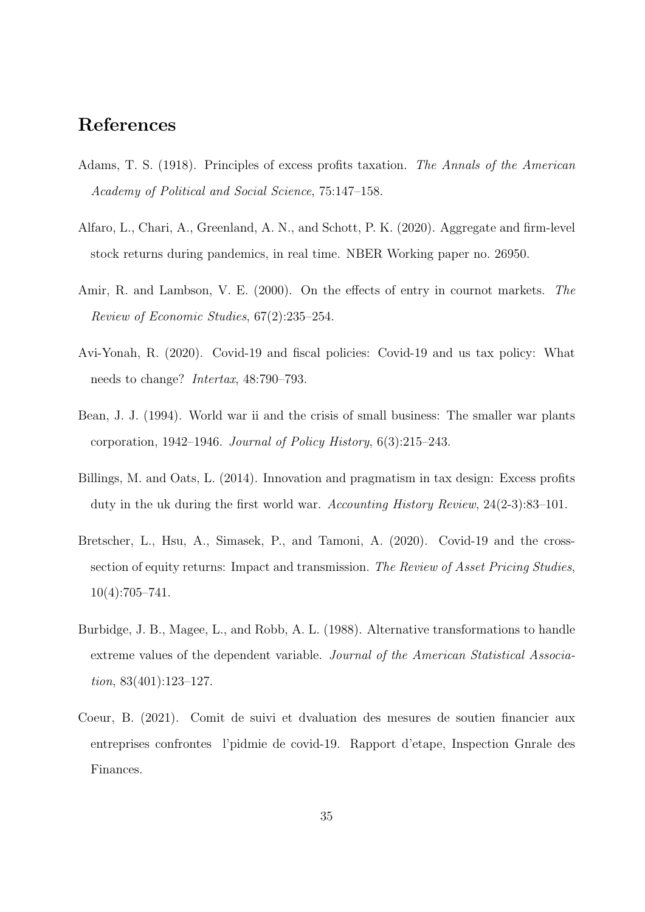### References

- Adams, T. S. (1918). Principles of excess profits taxation. The Annals of the American Academy of Political and Social Science, 75:147–158.
- Alfaro, L., Chari, A., Greenland, A. N., and Schott, P. K. (2020). Aggregate and firm-level stock returns during pandemics, in real time. NBER Working paper no. 26950.
- Amir, R. and Lambson, V. E. (2000). On the effects of entry in cournot markets. The Review of Economic Studies, 67(2):235–254.
- Avi-Yonah, R. (2020). Covid-19 and fiscal policies: Covid-19 and us tax policy: What needs to change? Intertax, 48:790–793.
- Bean, J. J. (1994). World war ii and the crisis of small business: The smaller war plants corporation, 1942–1946. Journal of Policy History, 6(3):215–243.
- Billings, M. and Oats, L. (2014). Innovation and pragmatism in tax design: Excess profits duty in the uk during the first world war. Accounting History Review, 24(2-3):83–101.
- Bretscher, L., Hsu, A., Simasek, P., and Tamoni, A. (2020). Covid-19 and the crosssection of equity returns: Impact and transmission. The Review of Asset Pricing Studies, 10(4):705–741.
- Burbidge, J. B., Magee, L., and Robb, A. L. (1988). Alternative transformations to handle extreme values of the dependent variable. Journal of the American Statistical Association, 83(401):123–127.
- Coeur, B. (2021). Comit de suivi et dvaluation des mesures de soutien financier aux entreprises confrontes l'pidmie de covid-19. Rapport d'etape, Inspection Gnrale des Finances.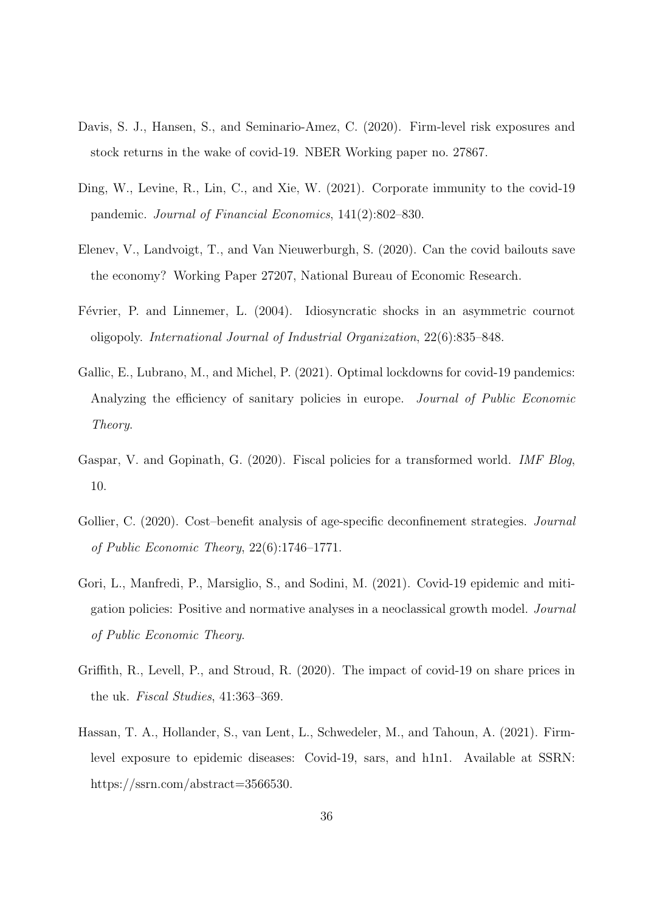- Davis, S. J., Hansen, S., and Seminario-Amez, C. (2020). Firm-level risk exposures and stock returns in the wake of covid-19. NBER Working paper no. 27867.
- Ding, W., Levine, R., Lin, C., and Xie, W. (2021). Corporate immunity to the covid-19 pandemic. Journal of Financial Economics, 141(2):802–830.
- Elenev, V., Landvoigt, T., and Van Nieuwerburgh, S. (2020). Can the covid bailouts save the economy? Working Paper 27207, National Bureau of Economic Research.
- Février, P. and Linnemer, L. (2004). Idiosyncratic shocks in an asymmetric cournot oligopoly. International Journal of Industrial Organization, 22(6):835–848.
- Gallic, E., Lubrano, M., and Michel, P. (2021). Optimal lockdowns for covid-19 pandemics: Analyzing the efficiency of sanitary policies in europe. *Journal of Public Economic* Theory.
- Gaspar, V. and Gopinath, G. (2020). Fiscal policies for a transformed world. IMF Blog, 10.
- Gollier, C. (2020). Cost-benefit analysis of age-specific deconfinement strategies. *Journal* of Public Economic Theory, 22(6):1746–1771.
- Gori, L., Manfredi, P., Marsiglio, S., and Sodini, M. (2021). Covid-19 epidemic and mitigation policies: Positive and normative analyses in a neoclassical growth model. Journal of Public Economic Theory.
- Griffith, R., Levell, P., and Stroud, R. (2020). The impact of covid-19 on share prices in the uk. Fiscal Studies, 41:363–369.
- Hassan, T. A., Hollander, S., van Lent, L., Schwedeler, M., and Tahoun, A. (2021). Firmlevel exposure to epidemic diseases: Covid-19, sars, and h1n1. Available at SSRN: https://ssrn.com/abstract=3566530.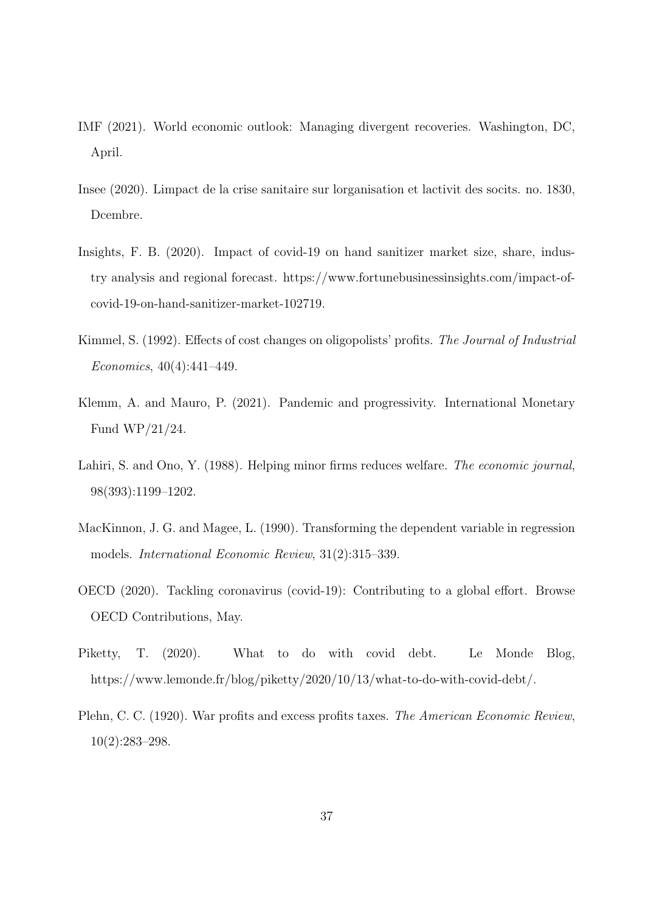- IMF (2021). World economic outlook: Managing divergent recoveries. Washington, DC, April.
- Insee (2020). Limpact de la crise sanitaire sur lorganisation et lactivit des socits. no. 1830, Dcembre.
- Insights, F. B. (2020). Impact of covid-19 on hand sanitizer market size, share, industry analysis and regional forecast. https://www.fortunebusinessinsights.com/impact-ofcovid-19-on-hand-sanitizer-market-102719.
- Kimmel, S. (1992). Effects of cost changes on oligopolists' profits. The Journal of Industrial Economics, 40(4):441–449.
- Klemm, A. and Mauro, P. (2021). Pandemic and progressivity. International Monetary Fund WP/21/24.
- Lahiri, S. and Ono, Y. (1988). Helping minor firms reduces welfare. The economic journal, 98(393):1199–1202.
- MacKinnon, J. G. and Magee, L. (1990). Transforming the dependent variable in regression models. International Economic Review, 31(2):315–339.
- OECD (2020). Tackling coronavirus (covid-19): Contributing to a global effort. Browse OECD Contributions, May.
- Piketty, T. (2020). What to do with covid debt. Le Monde Blog, https://www.lemonde.fr/blog/piketty/2020/10/13/what-to-do-with-covid-debt/.
- Plehn, C. C. (1920). War profits and excess profits taxes. The American Economic Review, 10(2):283–298.